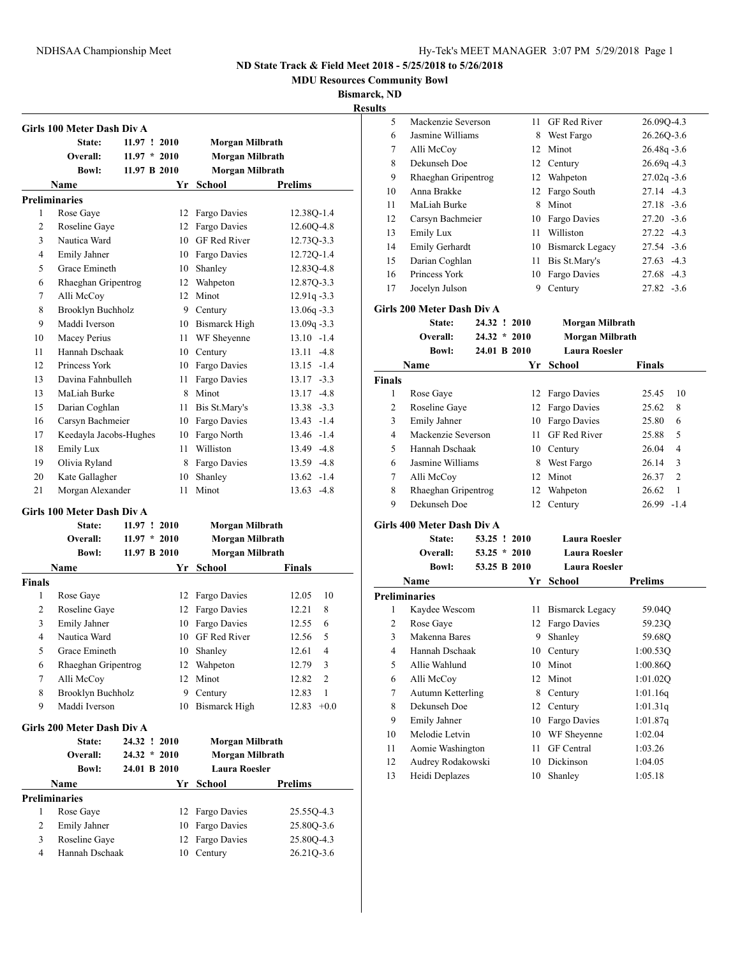**MDU Resources Community Bowl**

**Bismarck, ND Results**

|                | Girls 100 Meter Dash Div A<br>State:<br>Overall:<br><b>Bowl:</b> | 11.97 ! 2010<br>$11.97 * 2010$<br>11.97 B 2010 |      | Morgan Milbrath<br>Morgan Milbrath<br><b>Morgan Milbrath</b> |                          |
|----------------|------------------------------------------------------------------|------------------------------------------------|------|--------------------------------------------------------------|--------------------------|
|                | Name                                                             |                                                |      | Yr School                                                    | <b>Prelims</b>           |
|                | <b>Preliminaries</b>                                             |                                                |      |                                                              |                          |
| 1              | Rose Gaye                                                        |                                                |      | 12 Fargo Davies                                              | 12.38Q-1.4               |
| $\overline{c}$ | Roseline Gaye                                                    |                                                |      | 12 Fargo Davies                                              | 12.60Q-4.8               |
| 3              | Nautica Ward                                                     |                                                |      | 10 GF Red River                                              | 12.730-3.3               |
| 4              | Emily Jahner                                                     |                                                |      | 10 Fargo Davies                                              | 12.72Q-1.4               |
| 5              | Grace Emineth                                                    |                                                |      | 10 Shanley                                                   | 12.83Q-4.8               |
| 6              | Rhaeghan Gripentrog                                              |                                                |      | 12 Wahpeton                                                  | 12.87Q-3.3               |
| 7              | Alli McCoy                                                       |                                                |      | 12 Minot                                                     | $12.91q - 3.3$           |
| 8              | Brooklyn Buchholz                                                |                                                |      | 9 Century                                                    | $13.06q - 3.3$           |
| 9              | Maddi Iverson                                                    |                                                |      | 10 Bismarck High                                             | $13.09q - 3.3$           |
| 10             | Macey Perius                                                     |                                                | 11 - | WF Sheyenne                                                  | $13.10 - 1.4$            |
| 11             | Hannah Dschaak                                                   |                                                |      | 10 Century                                                   | $13.11 - 4.8$            |
| 12             | Princess York                                                    |                                                |      | 10 Fargo Davies                                              | $13.15 - 1.4$            |
| 13             | Davina Fahnbulleh                                                |                                                |      | 11 Fargo Davies                                              | $13.17 - 3.3$            |
| 13             | MaLiah Burke                                                     |                                                |      | 8 Minot                                                      | $13.17 - 4.8$            |
| 15             | Darian Coghlan                                                   |                                                |      | 11 Bis St.Mary's                                             | 13.38 -3.3               |
| 16             | Carsyn Bachmeier                                                 |                                                |      | 10 Fargo Davies                                              | $13.43 - 1.4$            |
| 17             | Keedayla Jacobs-Hughes                                           |                                                |      | 10 Fargo North                                               | 13.46 -1.4               |
| 18             | Emily Lux                                                        |                                                | 11   | Williston                                                    | 13.49 -4.8               |
| 19             | Olivia Ryland                                                    |                                                |      | 8 Fargo Davies                                               | 13.59 -4.8               |
| 20             | Kate Gallagher                                                   |                                                | 10   | Shanley                                                      | $13.62 -1.4$             |
| 21             |                                                                  |                                                | 11   | Minot                                                        |                          |
|                | Morgan Alexander                                                 |                                                |      |                                                              | $13.63 - 4.8$            |
|                | Girls 100 Meter Dash Div A                                       |                                                |      |                                                              |                          |
|                | State:                                                           | 11.97 ! 2010                                   |      | Morgan Milbrath                                              |                          |
|                | Overall:                                                         | $11.97 * 2010$                                 |      | Morgan Milbrath                                              |                          |
|                | <b>Bowl:</b>                                                     | 11.97 B 2010                                   |      | Morgan Milbrath                                              |                          |
|                | Name                                                             |                                                | Yr   | <b>School</b>                                                | Finals                   |
| <b>Finals</b>  |                                                                  |                                                |      |                                                              |                          |
| 1              | Rose Gaye                                                        |                                                |      | 12 Fargo Davies                                              | 12.05<br>10              |
| 2              | Roseline Gaye                                                    |                                                |      | 12 Fargo Davies                                              | 12.21<br>8               |
| 3              | Emily Jahner                                                     |                                                |      | 10 Fargo Davies                                              | 12.55<br>6               |
| 4              | Nautica Ward                                                     |                                                |      | 10 GF Red River                                              | 12.56<br>5               |
|                | Grace Emineth                                                    |                                                | 10   | Shanley                                                      | 12.61<br>4               |
| 5              |                                                                  |                                                |      |                                                              |                          |
| 6              | Rhaeghan Gripentrog                                              |                                                | 12   | Wahpeton                                                     | 12.79<br>3               |
| $\tau$         | Alli McCoy                                                       |                                                | 12   | Minot                                                        | 12.82<br>$\overline{c}$  |
| 8              | Brooklyn Buchholz                                                |                                                | 9.   | Century                                                      | 12.83<br>1               |
| 9              | Maddi Iverson                                                    |                                                | 10   | <b>Bismarck High</b>                                         | 12.83                    |
|                |                                                                  |                                                |      |                                                              | $+0.0$                   |
|                | Girls 200 Meter Dash Div A                                       |                                                |      |                                                              |                          |
|                | State:                                                           | 24.32 ! 2010                                   |      | Morgan Milbrath                                              |                          |
|                | Overall:                                                         | $24.32 * 2010$                                 |      | Morgan Milbrath                                              |                          |
|                | <b>Bowl:</b>                                                     | 24.01 B 2010                                   |      | <b>Laura Roesler</b>                                         |                          |
|                | Name                                                             |                                                | Yr   | School                                                       | <b>Prelims</b>           |
|                | <b>Preliminaries</b>                                             |                                                |      |                                                              |                          |
| 1              | Rose Gaye                                                        |                                                | 12   | Fargo Davies                                                 |                          |
| 2              | Emily Jahner                                                     |                                                | 10   | Fargo Davies                                                 | 25.55Q-4.3<br>25.80Q-3.6 |
| 3              | Roseline Gaye                                                    |                                                | 12   | Fargo Davies                                                 | 25.80Q-4.3               |

| 5  | Mackenzie Severson  |    | 11 GF Red River        | 26.090-4.3     |
|----|---------------------|----|------------------------|----------------|
| 6  | Jasmine Williams    | 8  | West Fargo             | 26.26Q-3.6     |
| 7  | Alli McCoy          | 12 | Minot                  | $26.48q - 3.6$ |
| 8  | Dekunseh Doe        |    | 12 Century             | $26.69q -4.3$  |
| 9  | Rhaeghan Gripentrog |    | 12 Wahpeton            | $27.02q - 3.6$ |
| 10 | Anna Brakke         | 12 | Fargo South            | $27.14 - 4.3$  |
| 11 | MaLiah Burke        | 8  | Minot                  | $27.18 - 3.6$  |
| 12 | Carsyn Bachmeier    | 10 | Fargo Davies           | $27.20 - 3.6$  |
| 13 | Emily Lux           | 11 | Williston              | $27.22 - 4.3$  |
| 14 | Emily Gerhardt      | 10 | <b>Bismarck Legacy</b> | $27.54 - 3.6$  |
| 15 | Darian Coghlan      | 11 | Bis St.Mary's          | $27.63 - 4.3$  |
| 16 | Princess York       | 10 | Fargo Davies           | 27.68 -4.3     |
| 17 | Jocelyn Julson      | 9  | Century                | $27.82 - 3.6$  |
|    |                     |    |                        |                |

#### **Girls 200 Meter Dash Div A**

|               | State:              | 24.32 ! 2010   |    | Morgan Milbrath      |               |                |
|---------------|---------------------|----------------|----|----------------------|---------------|----------------|
|               | Overall:            | $24.32 * 2010$ |    | Morgan Milbrath      |               |                |
|               | <b>Bowl:</b>        | 24.01 B 2010   |    | <b>Laura Roesler</b> |               |                |
|               | Name                |                | Yr | School               | <b>Finals</b> |                |
| <b>Finals</b> |                     |                |    |                      |               |                |
| 1             | Rose Gaye           |                | 12 | Fargo Davies         | 25.45         | 10             |
| 2             | Roseline Gave       |                | 12 | Fargo Davies         | 25.62         | 8              |
| 3             | Emily Jahner        |                | 10 | Fargo Davies         | 25.80         | 6              |
| 4             | Mackenzie Severson  |                | 11 | <b>GF</b> Red River  | 25.88         | 5              |
| 5             | Hannah Dschaak      |                |    | 10 Century           | 26.04         | 4              |
| 6             | Jasmine Williams    |                | 8  | West Fargo           | 26.14         | 3              |
| 7             | Alli McCoy          |                | 12 | Minot                | 26.37         | $\overline{2}$ |
| 8             | Rhaeghan Gripentrog |                | 12 | Wahpeton             | 26.62         | 1              |
| 9             | Dekunseh Doe        |                | 12 | Century              | 26.99         | $-1.4$         |

### **Girls 400 Meter Dash Div A**

| eliminaries  |                |               |                |
|--------------|----------------|---------------|----------------|
| <b>Name</b>  |                | Yr School     | <b>Prelims</b> |
| <b>Bowl:</b> | 53.25 B 2010   | Laura Roesler |                |
| Overall:     | $53.25 * 2010$ | Laura Roesler |                |
| State:       | 53.25 ! 2010   | Laura Roesler |                |

|    | таніс                | . . | pengui                 | т гению  |  |
|----|----------------------|-----|------------------------|----------|--|
|    | <b>Preliminaries</b> |     |                        |          |  |
| 1  | Kaydee Wescom        | 11  | <b>Bismarck Legacy</b> | 59.04Q   |  |
| 2  | Rose Gaye            |     | 12 Fargo Davies        | 59.23Q   |  |
| 3  | Makenna Bares        | 9   | Shanley                | 59.68O   |  |
| 4  | Hannah Dschaak       | 10  | Century                | 1:00.530 |  |
| 5  | Allie Wahlund        | 10  | Minot                  | 1:00.86O |  |
| 6  | Alli McCoy           |     | 12 Minot               | 1:01.020 |  |
| 7  | Autumn Ketterling    | 8   | Century                | 1:01.16q |  |
| 8  | Dekunseh Doe         | 12  | Century                | 1:01.31q |  |
| 9  | Emily Jahner         | 10  | Fargo Davies           | 1:01.87q |  |
| 10 | Melodie Letvin       | 10  | WF Sheyenne            | 1:02.04  |  |
| 11 | Aomie Washington     | 11  | <b>GF</b> Central      | 1:03.26  |  |
| 12 | Audrey Rodakowski    | 10  | Dickinson              | 1:04.05  |  |
| 13 | Heidi Deplazes       | 10  | Shanley                | 1:05.18  |  |
|    |                      |     |                        |          |  |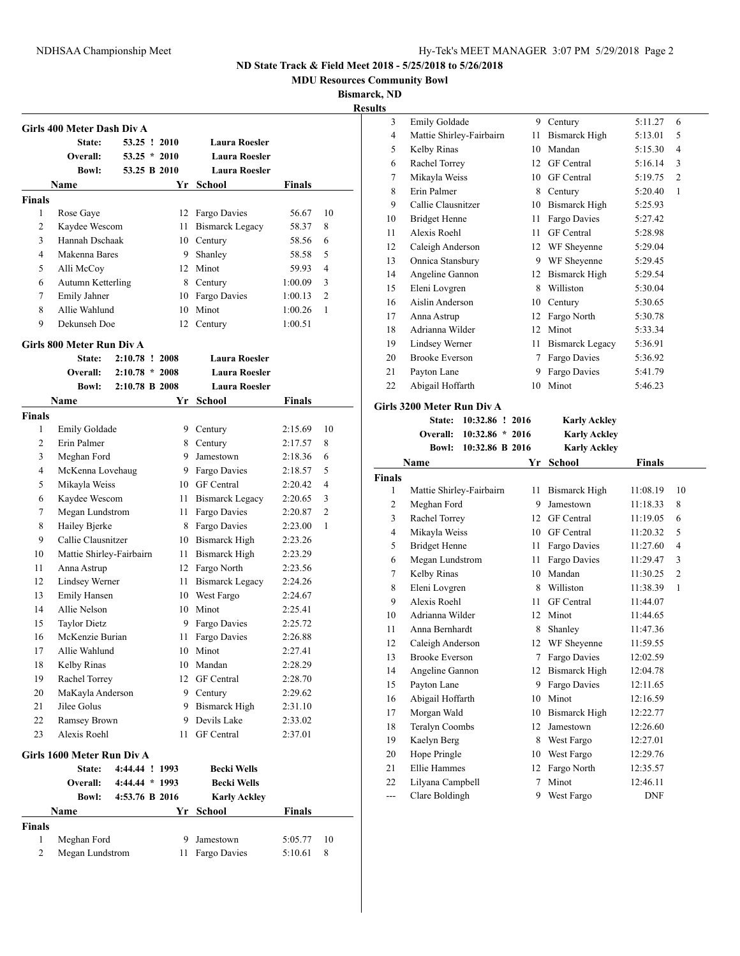**MDU Resources Community Bowl**

**Bismarck, ND**

|               | Girls 400 Meter Dash Div A |                  |        |                        |               |                |
|---------------|----------------------------|------------------|--------|------------------------|---------------|----------------|
|               | State:                     | 53.25 ! 2010     |        | <b>Laura Roesler</b>   |               |                |
|               | Overall:                   | $53.25 * 2010$   |        | <b>Laura Roesler</b>   |               |                |
|               | <b>Bowl:</b>               | 53.25 B 2010     |        | <b>Laura Roesler</b>   |               |                |
|               | Name                       |                  | Yr     | School                 | Finals        |                |
| <b>Finals</b> |                            |                  |        |                        |               |                |
| 1             | Rose Gaye                  |                  |        | 12 Fargo Davies        | 56.67         | 10             |
| 2             | Kaydee Wescom              |                  | 11 -   | <b>Bismarck Legacy</b> | 58.37         | 8              |
| 3             | Hannah Dschaak             |                  |        | 10 Century             | 58.56         | 6              |
| 4             | Makenna Bares              |                  | 9      | Shanley                | 58.58         | 5              |
| 5             | Alli McCoy                 |                  |        | 12 Minot               | 59.93         | $\overline{4}$ |
| 6             | Autumn Ketterling          |                  |        | 8 Century              | 1:00.09       | 3              |
| 7             | Emily Jahner               |                  |        | 10 Fargo Davies        | 1:00.13       | $\overline{2}$ |
| 8             | Allie Wahlund              |                  | 10     | Minot                  | 1:00.26       | 1              |
| 9             | Dekunseh Doe               |                  | 12     | Century                | 1:00.51       |                |
|               | Girls 800 Meter Run Div A  |                  |        |                        |               |                |
|               | State:                     | 2:10.78 ! 2008   |        | <b>Laura Roesler</b>   |               |                |
|               | Overall:                   | $2:10.78 * 2008$ |        | <b>Laura Roesler</b>   |               |                |
|               | <b>Bowl:</b>               | 2:10.78 B 2008   |        | <b>Laura Roesler</b>   |               |                |
|               | Name                       |                  | Yr     | School                 | Finals        |                |
| <b>Finals</b> |                            |                  |        |                        |               |                |
| 1             | Emily Goldade              |                  |        | 9 Century              | 2:15.69       | 10             |
| 2             | Erin Palmer                |                  |        | 8 Century              | 2:17.57       | 8              |
| 3             | Meghan Ford                |                  |        | 9 Jamestown            | 2:18.36       | 6              |
| 4             | McKenna Lovehaug           |                  |        | 9 Fargo Davies         | 2:18.57       | 5              |
| 5             | Mikayla Weiss              |                  |        | 10 GF Central          | 2:20.42       | $\overline{4}$ |
| 6             | Kaydee Wescom              |                  | 11 -   | <b>Bismarck Legacy</b> | 2:20.65       | 3              |
| 7             | Megan Lundstrom            |                  | 11     | Fargo Davies           | 2:20.87       | $\overline{c}$ |
| 8             | Hailey Bjerke              |                  | 8      | Fargo Davies           | 2:23.00       | $\mathbf{1}$   |
| 9             | Callie Clausnitzer         |                  |        | 10 Bismarck High       | 2:23.26       |                |
| 10            | Mattie Shirley-Fairbairn   |                  |        | 11 Bismarck High       | 2:23.29       |                |
| 11            | Anna Astrup                |                  |        | 12 Fargo North         | 2:23.56       |                |
| 12            | Lindsey Werner             |                  |        | 11 Bismarck Legacy     | 2:24.26       |                |
| 13            | Emily Hansen               |                  |        | 10 West Fargo          | 2:24.67       |                |
| 14            | Allie Nelson               |                  |        | 10 Minot               | 2:25.41       |                |
| 15            | <b>Taylor Dietz</b>        |                  | 9      | Fargo Davies           | 2:25.72       |                |
| 16            | McKenzie Burian            |                  | 11     | Fargo Davies           | 2:26.88       |                |
| 17            | Allie Wahlund              |                  | $10\,$ | Minot                  | 2:27.41       |                |
| 18            | Kelby Rinas                |                  | 10     | Mandan                 | 2:28.29       |                |
| 19            | Rachel Torrey              |                  | 12     | <b>GF</b> Central      | 2:28.70       |                |
| 20            | MaKayla Anderson           |                  |        | 9 Century              | 2:29.62       |                |
| 21            | Jilee Golus                |                  |        | 9 Bismarck High        | 2:31.10       |                |
| 22            | Ramsey Brown               |                  |        | 9 Devils Lake          | 2:33.02       |                |
| 23            | Alexis Roehl               |                  | 11     | <b>GF</b> Central      | 2:37.01       |                |
|               |                            |                  |        |                        |               |                |
|               | Girls 1600 Meter Run Div A |                  |        |                        |               |                |
|               | State:                     | 4:44.44 ! 1993   |        | <b>Becki Wells</b>     |               |                |
|               | Overall:                   | 4:44.44 * 1993   |        | <b>Becki Wells</b>     |               |                |
|               | <b>Bowl:</b>               | 4:53.76 B 2016   |        | <b>Karly Ackley</b>    |               |                |
|               | Name                       |                  | Yr     | <b>School</b>          | <b>Finals</b> |                |
| <b>Finals</b> |                            |                  |        |                        |               |                |
| $\mathbf{1}$  | Meghan Ford                |                  | 9      | Jamestown              | 5:05.77       | 10             |
| 2             | Megan Lundstrom            |                  | 11     | Fargo Davies           | 5:10.61       | 8              |

| <b>desults</b> |                          |    |                        |         |                |
|----------------|--------------------------|----|------------------------|---------|----------------|
| 3              | <b>Emily Goldade</b>     | 9  | Century                | 5:11.27 | 6              |
| $\overline{4}$ | Mattie Shirley-Fairbairn | 11 | Bismarck High          | 5:13.01 | 5              |
| 5              | Kelby Rinas              | 10 | Mandan                 | 5:15.30 | $\overline{4}$ |
| 6              | Rachel Torrey            | 12 | <b>GF</b> Central      | 5:16.14 | 3              |
| $\tau$         | Mikayla Weiss            | 10 | <b>GF</b> Central      | 5:19.75 | $\overline{2}$ |
| 8              | Erin Palmer              | 8  | Century                | 5:20.40 | 1              |
| 9              | Callie Clausnitzer       | 10 | Bismarck High          | 5:25.93 |                |
| 10             | <b>Bridget Henne</b>     | 11 | Fargo Davies           | 5:27.42 |                |
| 11             | Alexis Roehl             | 11 | <b>GF</b> Central      | 5:28.98 |                |
| 12             | Caleigh Anderson         | 12 | WF Sheyenne            | 5:29.04 |                |
| 13             | Onnica Stansbury         | 9  | WF Sheyenne            | 5:29.45 |                |
| 14             | Angeline Gannon          | 12 | Bismarck High          | 5:29.54 |                |
| 15             | Eleni Lovgren            | 8  | Williston              | 5:30.04 |                |
| 16             | Aislin Anderson          | 10 | Century                | 5:30.65 |                |
| 17             | Anna Astrup              | 12 | Fargo North            | 5:30.78 |                |
| 18             | Adrianna Wilder          | 12 | Minot                  | 5:33.34 |                |
| 19             | Lindsey Werner           | 11 | <b>Bismarck Legacy</b> | 5:36.91 |                |
| 20             | <b>Brooke Everson</b>    | 7  | Fargo Davies           | 5:36.92 |                |
| 21             | Payton Lane              | 9  | Fargo Davies           | 5:41.79 |                |
| 22             | Abigail Hoffarth         | 10 | Minot                  | 5:46.23 |                |
|                |                          |    |                        |         |                |

### **Girls 3200 Meter Run Div A**

| State: 10:32.86 ! 2016   | <b>Karly Ackley</b> |
|--------------------------|---------------------|
| Overall: 10:32.86 * 2016 | <b>Karly Ackley</b> |
| Bowl: 10:32.86 B 2016    | <b>Karly Ackley</b> |

|                | Name                     |    | Yr School         | <b>Finals</b> |                |
|----------------|--------------------------|----|-------------------|---------------|----------------|
| <b>Finals</b>  |                          |    |                   |               |                |
| 1              | Mattie Shirley-Fairbairn | 11 | Bismarck High     | 11:08.19      | 10             |
| $\overline{2}$ | Meghan Ford              | 9  | Jamestown         | 11:18.33      | 8              |
| 3              | Rachel Torrey            | 12 | <b>GF</b> Central | 11:19.05      | 6              |
| 4              | Mikayla Weiss            | 10 | <b>GF</b> Central | 11:20.32      | 5              |
| 5              | <b>Bridget Henne</b>     | 11 | Fargo Davies      | 11:27.60      | 4              |
| 6              | Megan Lundstrom          | 11 | Fargo Davies      | 11:29.47      | 3              |
| 7              | Kelby Rinas              | 10 | Mandan            | 11:30.25      | $\overline{2}$ |
| 8              | Eleni Lovgren            | 8  | Williston         | 11:38.39      | $\mathbf{1}$   |
| 9              | Alexis Roehl             | 11 | GF Central        | 11:44.07      |                |
| 10             | Adrianna Wilder          | 12 | Minot             | 11:44.65      |                |
| 11             | Anna Bernhardt           | 8  | Shanley           | 11:47.36      |                |
| 12             | Caleigh Anderson         | 12 | WF Sheyenne       | 11:59.55      |                |
| 13             | <b>Brooke Everson</b>    | 7  | Fargo Davies      | 12:02.59      |                |
| 14             | Angeline Gannon          | 12 | Bismarck High     | 12:04.78      |                |
| 15             | Payton Lane              | 9  | Fargo Davies      | 12:11.65      |                |
| 16             | Abigail Hoffarth         | 10 | Minot             | 12:16.59      |                |
| 17             | Morgan Wald              | 10 | Bismarck High     | 12:22.77      |                |
| 18             | <b>Teralyn Coombs</b>    | 12 | Jamestown         | 12:26.60      |                |
| 19             | Kaelyn Berg              | 8  | West Fargo        | 12:27.01      |                |
| 20             | Hope Pringle             | 10 | West Fargo        | 12:29.76      |                |
| 21             | <b>Ellie Hammes</b>      | 12 | Fargo North       | 12:35.57      |                |
| 22             | Lilyana Campbell         | 7  | Minot             | 12:46.11      |                |
| $---$          | Clare Boldingh           | 9  | West Fargo        | <b>DNF</b>    |                |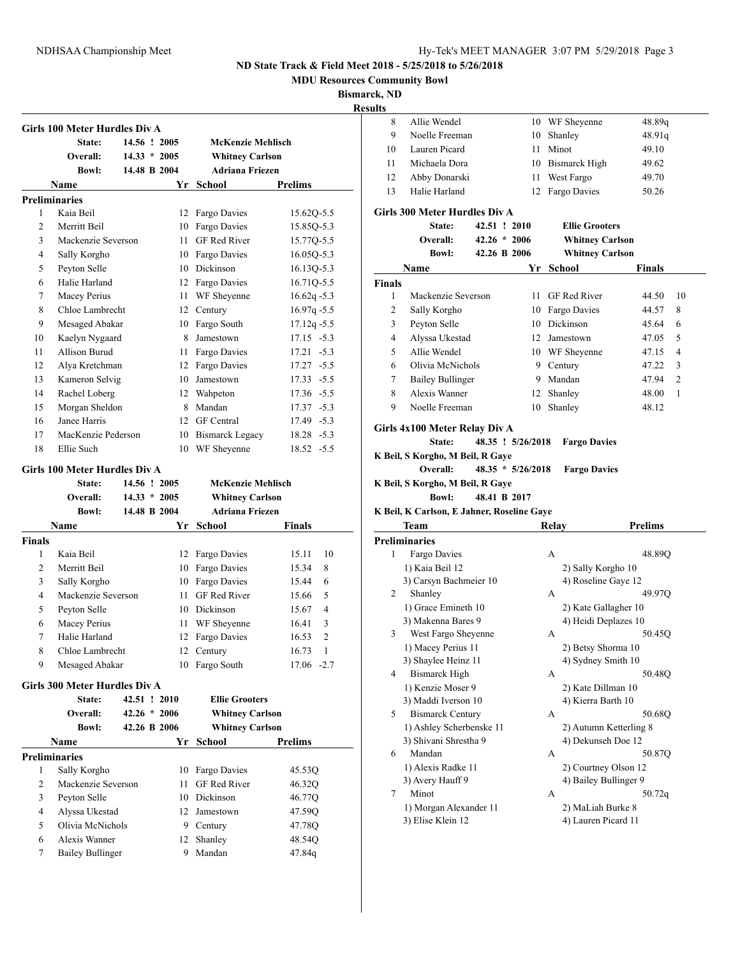**MDU Resources Community Bowl**

**Bismarck, ND**

# **Results**

|                | State:               | 14.56 ! 2005   |                 | <b>McKenzie Mehlisch</b> |                |
|----------------|----------------------|----------------|-----------------|--------------------------|----------------|
|                | Overall:             | $14.33 * 2005$ |                 | <b>Whitney Carlson</b>   |                |
|                | <b>Bowl:</b>         | 14.48 B 2004   |                 | <b>Adriana Friezen</b>   |                |
|                | Name                 |                | Yr              | School                   | <b>Prelims</b> |
|                | <b>Preliminaries</b> |                |                 |                          |                |
| 1              | Kaia Beil            |                | 12              | Fargo Davies             | 15.620-5.5     |
| $\mathfrak{D}$ | Merritt Beil         |                | 10              | Fargo Davies             | 15.85Q-5.3     |
| 3              | Mackenzie Severson   |                | 11              | <b>GF Red River</b>      | 15.77Q-5.5     |
| 4              | Sally Korgho         |                | 10              | Fargo Davies             | 16.050-5.3     |
| 5              | Peyton Selle         |                | 10              | Dickinson                | 16.13Q-5.3     |
| 6              | Halie Harland        |                | 12              | Fargo Davies             | 16.710-5.5     |
| 7              | Macey Perius         |                | 11              | WF Sheyenne              | $16.62q - 5.3$ |
| 8              | Chloe Lambrecht      |                | 12              | Century                  | $16.97q - 5.5$ |
| 9              | Mesaged Abakar       |                | 10              | Fargo South              | $17.12q - 5.5$ |
| 10             | Kaelyn Nygaard       |                | 8               | Jamestown                | $17.15 - 5.3$  |
| 11             | Allison Burud        |                | 11              | Fargo Davies             | $17.21 - 5.3$  |
| 12             | Alya Kretchman       |                | 12              | Fargo Davies             | $17.27 - 5.5$  |
| 13             | Kameron Selvig       |                | 10              | Jamestown                | $17.33 - 5.5$  |
| 14             | Rachel Loberg        |                | 12              | Wahpeton                 | $17.36 - 5.5$  |
| 15             | Morgan Sheldon       |                | 8               | Mandan                   | $17.37 - 5.3$  |
| 16             | Janee Harris         |                | 12 <sup>1</sup> | <b>GF</b> Central        | 17.49 - 5.3    |
| 17             | MacKenzie Pederson   |                | 10              | <b>Bismarck Legacy</b>   | $18.28 - 5.3$  |
| 18             | Ellie Such           |                | 10              | WF Shevenne              | $18.52 - 5.5$  |

#### **Girls 100 Meter Hurdles Div A**

|                | State:                               | 14.56 ! 2005   |    | <b>McKenzie Mehlisch</b> |                         |
|----------------|--------------------------------------|----------------|----|--------------------------|-------------------------|
|                | Overall:                             | $14.33 * 2005$ |    | <b>Whitney Carlson</b>   |                         |
|                | <b>Bowl:</b>                         | 14.48 B 2004   |    | <b>Adriana Friezen</b>   |                         |
|                | <b>Name</b>                          |                | Yr | School                   | <b>Finals</b>           |
| <b>Finals</b>  |                                      |                |    |                          |                         |
| 1              | Kaia Beil                            |                | 12 | Fargo Davies             | 10<br>15.11             |
| $\overline{c}$ | Merritt Beil                         |                | 10 | Fargo Davies             | 15.34<br>8              |
| 3              | Sally Korgho                         |                | 10 | Fargo Davies             | 15.44<br>6              |
| $\overline{4}$ | Mackenzie Severson                   |                | 11 | <b>GF Red River</b>      | 5<br>15.66              |
| 5              | Peyton Selle                         |                | 10 | Dickinson                | 15.67<br>4              |
| 6              | Macey Perius                         |                | 11 | WF Sheyenne              | 3<br>16.41              |
| 7              | Halie Harland                        |                | 12 | Fargo Davies             | $\overline{2}$<br>16.53 |
| 8              | Chloe Lambrecht                      |                | 12 | Century                  | 16.73<br>$\mathbf{1}$   |
| 9              | Mesaged Abakar                       |                | 10 | Fargo South              | 17.06<br>$-2.7$         |
|                | <b>Girls 300 Meter Hurdles Div A</b> |                |    |                          |                         |
|                | State:                               | 42.51 ! 2010   |    | <b>Ellie Grooters</b>    |                         |
|                | Overall:                             | $42.26 * 2006$ |    | <b>Whitney Carlson</b>   |                         |
|                | <b>Bowl:</b>                         | 42.26 B 2006   |    | <b>Whitney Carlson</b>   |                         |
|                | <b>Name</b>                          |                | Yr | School                   | <b>Prelims</b>          |
|                | <b>Preliminaries</b>                 |                |    |                          |                         |
| 1              | Sally Korgho                         |                | 10 | Fargo Davies             | 45.53Q                  |
| $\overline{2}$ | Mackenzie Severson                   |                | 11 | <b>GF</b> Red River      | 46.32Q                  |
| 3              | Peyton Selle                         |                | 10 | Dickinson                | 46.77Q                  |
| 4              | Alyssa Ukestad                       |                | 12 | Jamestown                | 47.59Q                  |
| 5              | Olivia McNichols                     |                | 9  | Century                  | 47.78Q                  |
| 6              | Alexis Wanner                        |                | 12 | Shanley                  | 48.54Q                  |
| 7              | <b>Bailey Bullinger</b>              |                | 9  | Mandan                   | 47.84g                  |
|                |                                      |                |    |                          |                         |

| 8      | Allie Wendel                                                                            |                |                                          | 10 WF Sheyenne                             | 48.89q                  |
|--------|-----------------------------------------------------------------------------------------|----------------|------------------------------------------|--------------------------------------------|-------------------------|
| 9      | Noelle Freeman                                                                          |                |                                          | 10 Shanley                                 | 48.91q                  |
| 10     | Lauren Picard                                                                           |                |                                          | 11 Minot                                   | 49.10                   |
| 11     | Michaela Dora                                                                           |                |                                          | 10 Bismarck High                           | 49.62                   |
| 12     | Abby Donarski                                                                           |                |                                          | 11 West Fargo                              | 49.70                   |
| 13     | Halie Harland                                                                           |                | 12                                       | Fargo Davies                               | 50.26                   |
|        |                                                                                         |                |                                          |                                            |                         |
|        | <b>Girls 300 Meter Hurdles Div A</b>                                                    |                |                                          |                                            |                         |
|        | State:                                                                                  | 42.51 ! 2010   |                                          | <b>Ellie Grooters</b>                      |                         |
|        | <b>Overall:</b>                                                                         | $42.26 * 2006$ |                                          | <b>Whitney Carlson</b>                     |                         |
|        | <b>Bowl:</b>                                                                            | 42.26 B 2006   |                                          | <b>Whitney Carlson</b>                     |                         |
|        | Name                                                                                    |                |                                          | Yr School                                  | Finals                  |
| Finals |                                                                                         |                |                                          |                                            |                         |
| 1      | Mackenzie Severson                                                                      |                | 11 -                                     | GF Red River                               | 44.50<br>10             |
| 2      | Sally Korgho                                                                            |                |                                          | 10 Fargo Davies                            | 44.57<br>8              |
| 3      | Peyton Selle                                                                            |                |                                          | 10 Dickinson                               | 6<br>45.64              |
| 4      | Alyssa Ukestad                                                                          |                |                                          | 12 Jamestown                               | 5<br>47.05              |
| 5      | Allie Wendel                                                                            |                |                                          | 10 WF Sheyenne                             | 4<br>47.15              |
| 6      | Olivia McNichols                                                                        |                |                                          | 9 Century                                  | 47.22<br>3              |
| 7      | <b>Bailey Bullinger</b>                                                                 |                |                                          | 9 Mandan                                   | $\overline{2}$<br>47.94 |
| 8      | Alexis Wanner                                                                           |                |                                          | 12 Shanley                                 | 1<br>48.00              |
| 9      | Noelle Freeman                                                                          |                | 10                                       | Shanley                                    | 48.12                   |
|        | Girls 4x100 Meter Relay Div A<br>State:<br>K Beil, S Korgho, M Beil, R Gaye<br>Overall: |                | 48.35 ! 5/26/2018<br>$48.35 * 5/26/2018$ | <b>Fargo Davies</b><br><b>Fargo Davies</b> |                         |
|        | K Beil, S Korgho, M Beil, R Gaye                                                        |                |                                          |                                            |                         |
|        | <b>Bowl:</b>                                                                            | 48.41 B 2017   |                                          |                                            |                         |
|        |                                                                                         |                |                                          |                                            |                         |
|        | K Beil, K Carlson, E Jahner, Roseline Gaye                                              |                |                                          |                                            |                         |
|        | Team                                                                                    |                |                                          | Relay                                      | <b>Prelims</b>          |
|        | <b>Preliminaries</b>                                                                    |                |                                          |                                            |                         |
| 1      | Fargo Davies                                                                            |                |                                          | A                                          | 48.89Q                  |
|        | 1) Kaia Beil 12                                                                         |                |                                          | 2) Sally Korgho 10                         |                         |
|        | 3) Carsyn Bachmeier 10                                                                  |                |                                          | 4) Roseline Gaye 12                        |                         |
| 2      | Shanley                                                                                 |                |                                          | A                                          | 49.97Q                  |
|        | 1) Grace Emineth 10                                                                     |                |                                          | 2) Kate Gallagher 10                       |                         |
|        | 3) Makenna Bares 9                                                                      |                |                                          | 4) Heidi Deplazes 10                       |                         |
| 3      | West Fargo Sheyenne                                                                     |                |                                          | А                                          | 50.450                  |
|        | 1) Macey Perius 11                                                                      |                |                                          | 2) Betsy Shorma 10                         |                         |
| 4      | 3) Shaylee Heinz 11                                                                     |                |                                          | 4) Sydney Smith 10<br>А                    |                         |
|        | <b>Bismarck High</b><br>1) Kenzie Moser 9                                               |                |                                          |                                            | 50.48Q                  |
|        | 3) Maddi Iverson 10                                                                     |                |                                          | 2) Kate Dillman 10<br>4) Kierra Barth 10   |                         |
| 5      | <b>Bismarck Century</b>                                                                 |                |                                          | А                                          | 50.68Q                  |
|        | 1) Ashley Scherbenske 11                                                                |                |                                          | 2) Autumn Ketterling 8                     |                         |
|        | 3) Shivani Shrestha 9                                                                   |                |                                          | 4) Dekunseh Doe 12                         |                         |
| 6      | Mandan                                                                                  |                |                                          | A                                          | 50.87Q                  |
|        | 1) Alexis Radke 11                                                                      |                |                                          | 2) Courtney Olson 12                       |                         |
|        | 3) Avery Hauff 9                                                                        |                |                                          | 4) Bailey Bullinger 9                      |                         |
| 7      | Minot                                                                                   |                |                                          | A                                          | 50.72q                  |
|        | 1) Morgan Alexander 11<br>3) Elise Klein 12                                             |                |                                          | 2) MaLiah Burke 8<br>4) Lauren Picard 11   |                         |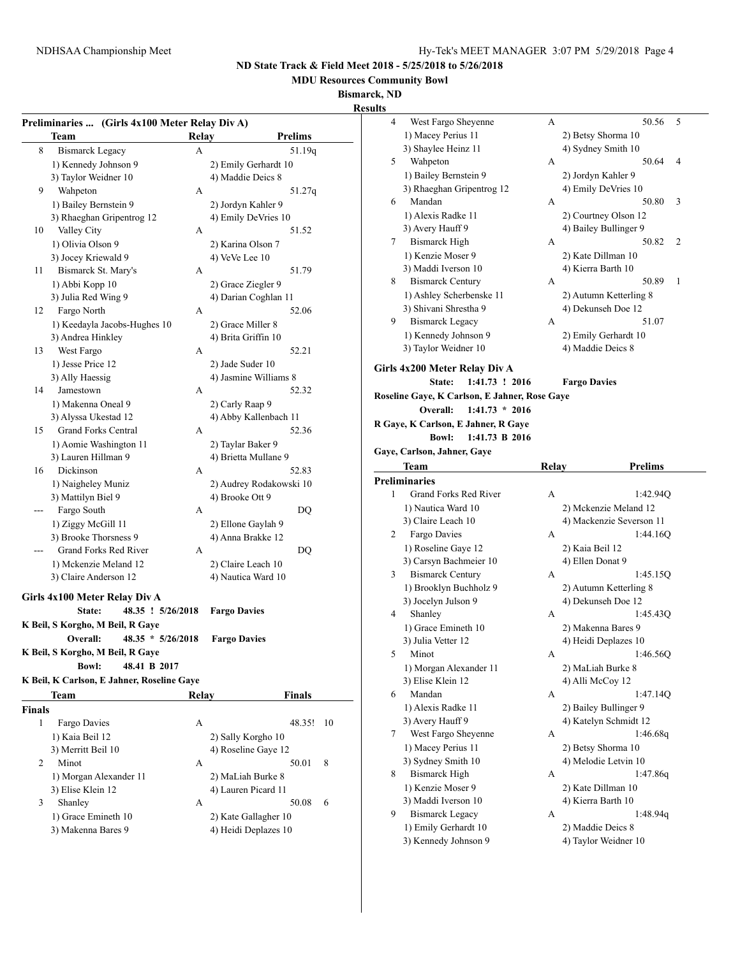**MDU Resources Community Bowl**

**Bismarck, ND**

**Results**

|             | Preliminaries  (Girls 4x100 Meter Relay Div A) |       |                                           |
|-------------|------------------------------------------------|-------|-------------------------------------------|
|             | Team                                           | Relay | <b>Prelims</b>                            |
| 8           | <b>Bismarck Legacy</b>                         | A     | 51.19q                                    |
|             | 1) Kennedy Johnson 9                           |       | 2) Emily Gerhardt 10                      |
|             | 3) Taylor Weidner 10                           |       | 4) Maddie Deics 8                         |
| 9           | Wahpeton                                       | A     | 51.27q                                    |
|             | 1) Bailey Bernstein 9                          |       | 2) Jordyn Kahler 9                        |
|             | 3) Rhaeghan Gripentrog 12                      |       | 4) Emily DeVries 10                       |
| 10          | Valley City                                    | A     | 51.52                                     |
|             | 1) Olivia Olson 9                              |       | 2) Karina Olson 7                         |
|             | 3) Jocey Kriewald 9                            |       | $4)$ VeVe Lee $10$                        |
| 11          | Bismarck St. Mary's                            | A     | 51.79                                     |
|             | 1) Abbi Kopp 10                                |       | 2) Grace Ziegler 9                        |
|             | 3) Julia Red Wing 9                            |       | 4) Darian Coghlan 11                      |
| 12          | Fargo North                                    | A     | 52.06                                     |
|             | 1) Keedayla Jacobs-Hughes 10                   |       | 2) Grace Miller 8                         |
|             | 3) Andrea Hinkley                              |       | 4) Brita Griffin 10                       |
| 13          | West Fargo                                     | A     | 52.21                                     |
|             | 1) Jesse Price 12                              |       | 2) Jade Suder 10                          |
|             | 3) Ally Haessig                                |       | 4) Jasmine Williams 8                     |
| 14          | Jamestown                                      | A     | 52.32                                     |
|             | 1) Makenna Oneal 9                             |       | 2) Carly Raap 9                           |
|             | 3) Alyssa Ukestad 12                           |       | 4) Abby Kallenbach 11                     |
| 15          | Grand Forks Central                            | A     | 52.36                                     |
|             |                                                |       |                                           |
|             | 1) Aomie Washington 11<br>3) Lauren Hillman 9  |       | 2) Taylar Baker 9<br>4) Brietta Mullane 9 |
| 16          | Dickinson                                      | A     | 52.83                                     |
|             |                                                |       |                                           |
|             | 1) Naigheley Muniz                             |       | 2) Audrey Rodakowski 10                   |
|             | 3) Mattilyn Biel 9                             |       | 4) Brooke Ott 9                           |
|             | Fargo South                                    | A     | DQ                                        |
|             | 1) Ziggy McGill 11                             |       | 2) Ellone Gaylah 9                        |
|             | 3) Brooke Thorsness 9                          |       | 4) Anna Brakke 12                         |
|             | Grand Forks Red River                          | A     | DQ                                        |
|             | 1) Mckenzie Meland 12                          |       | 2) Claire Leach 10                        |
|             | 3) Claire Anderson 12                          |       | 4) Nautica Ward 10                        |
|             | Girls 4x100 Meter Relay Div A                  |       |                                           |
|             | 48.35 ! 5/26/2018<br>State:                    |       | <b>Fargo Davies</b>                       |
|             | K Beil, S Korgho, M Beil, R Gaye               |       |                                           |
|             | Overall:<br>$48.35 * 5/26/2018$                |       | <b>Fargo Davies</b>                       |
|             | K Beil, S Korgho, M Beil, R Gaye               |       |                                           |
|             | 48.41 B 2017<br><b>Bowl:</b>                   |       |                                           |
|             | K Beil, K Carlson, E Jahner, Roseline Gaye     |       |                                           |
|             | Team                                           | Relay | Finals                                    |
|             |                                                |       |                                           |
| Finals<br>1 | Fargo Davies                                   | A     | 48.35!<br>10                              |
|             |                                                |       |                                           |
|             | 1) Kaia Beil 12                                |       | 2) Sally Korgho 10                        |
|             | 3) Merritt Beil 10                             |       | 4) Roseline Gaye 12                       |
| 2           | Minot                                          | A     | 50.01<br>8                                |
|             | 1) Morgan Alexander 11                         |       | 2) MaLiah Burke 8                         |
|             | 3) Elise Klein 12                              |       | 4) Lauren Picard 11                       |
| 3           | Shanley                                        | A     | 6<br>50.08                                |
|             | 1) Grace Emineth 10                            |       | 2) Kate Gallagher 10                      |
|             | 3) Makenna Bares 9                             |       | 4) Heidi Deplazes 10                      |
|             |                                                |       |                                           |

| 4<br>West Fargo Sheyenne<br>А<br>1) Macey Perius 11<br>2) Betsy Shorma 10<br>3) Shaylee Heinz 11<br>4) Sydney Smith 10<br>Wahpeton<br>A<br>5<br>1) Bailey Bernstein 9<br>2) Jordyn Kahler 9<br>3) Rhaeghan Gripentrog 12<br>4) Emily DeVries 10<br>Mandan<br>6<br>А<br>1) Alexis Radke 11<br>2) Courtney Olson 12<br>4) Bailey Bullinger 9<br>3) Avery Hauff 9<br><b>Bismarck High</b><br>7<br>А<br>1) Kenzie Moser 9<br>2) Kate Dillman 10<br>3) Maddi Iverson 10<br>4) Kierra Barth 10<br><b>Bismarck Century</b><br>A<br>8<br>1) Ashley Scherbenske 11<br>2) Autumn Ketterling 8<br>3) Shivani Shrestha 9<br>4) Dekunseh Doe 12<br>9<br><b>Bismarck Legacy</b><br>A<br>1) Kennedy Johnson 9<br>2) Emily Gerhardt 10<br>3) Taylor Weidner 10<br>4) Maddie Deics 8<br>Girls 4x200 Meter Relay Div A<br>1:41.73 ! 2016<br>State:<br><b>Fargo Davies</b><br>Roseline Gaye, K Carlson, E Jahner, Rose Gaye<br>$1:41.73 * 2016$<br>Overall:<br>R Gaye, K Carlson, E Jahner, R Gaye<br>1:41.73 B 2016<br><b>Bowl:</b><br>Gaye, Carlson, Jahner, Gaye<br>Team<br><b>Relay</b><br><b>Preliminaries</b><br>Grand Forks Red River<br>A<br>1<br>1) Nautica Ward 10<br>2) Mckenzie Meland 12<br>3) Claire Leach 10<br>4) Mackenzie Severson 11 | 5<br>50.56<br>50.64<br>4<br>50.80<br>3<br>50.82<br>2<br>50.89<br>1<br>51.07<br><b>Prelims</b><br>1:42.94Q |
|--------------------------------------------------------------------------------------------------------------------------------------------------------------------------------------------------------------------------------------------------------------------------------------------------------------------------------------------------------------------------------------------------------------------------------------------------------------------------------------------------------------------------------------------------------------------------------------------------------------------------------------------------------------------------------------------------------------------------------------------------------------------------------------------------------------------------------------------------------------------------------------------------------------------------------------------------------------------------------------------------------------------------------------------------------------------------------------------------------------------------------------------------------------------------------------------------------------------------------------|-----------------------------------------------------------------------------------------------------------|
|                                                                                                                                                                                                                                                                                                                                                                                                                                                                                                                                                                                                                                                                                                                                                                                                                                                                                                                                                                                                                                                                                                                                                                                                                                      |                                                                                                           |
|                                                                                                                                                                                                                                                                                                                                                                                                                                                                                                                                                                                                                                                                                                                                                                                                                                                                                                                                                                                                                                                                                                                                                                                                                                      |                                                                                                           |
|                                                                                                                                                                                                                                                                                                                                                                                                                                                                                                                                                                                                                                                                                                                                                                                                                                                                                                                                                                                                                                                                                                                                                                                                                                      |                                                                                                           |
|                                                                                                                                                                                                                                                                                                                                                                                                                                                                                                                                                                                                                                                                                                                                                                                                                                                                                                                                                                                                                                                                                                                                                                                                                                      |                                                                                                           |
|                                                                                                                                                                                                                                                                                                                                                                                                                                                                                                                                                                                                                                                                                                                                                                                                                                                                                                                                                                                                                                                                                                                                                                                                                                      |                                                                                                           |
|                                                                                                                                                                                                                                                                                                                                                                                                                                                                                                                                                                                                                                                                                                                                                                                                                                                                                                                                                                                                                                                                                                                                                                                                                                      |                                                                                                           |
|                                                                                                                                                                                                                                                                                                                                                                                                                                                                                                                                                                                                                                                                                                                                                                                                                                                                                                                                                                                                                                                                                                                                                                                                                                      |                                                                                                           |
|                                                                                                                                                                                                                                                                                                                                                                                                                                                                                                                                                                                                                                                                                                                                                                                                                                                                                                                                                                                                                                                                                                                                                                                                                                      |                                                                                                           |
|                                                                                                                                                                                                                                                                                                                                                                                                                                                                                                                                                                                                                                                                                                                                                                                                                                                                                                                                                                                                                                                                                                                                                                                                                                      |                                                                                                           |
|                                                                                                                                                                                                                                                                                                                                                                                                                                                                                                                                                                                                                                                                                                                                                                                                                                                                                                                                                                                                                                                                                                                                                                                                                                      |                                                                                                           |
|                                                                                                                                                                                                                                                                                                                                                                                                                                                                                                                                                                                                                                                                                                                                                                                                                                                                                                                                                                                                                                                                                                                                                                                                                                      |                                                                                                           |
|                                                                                                                                                                                                                                                                                                                                                                                                                                                                                                                                                                                                                                                                                                                                                                                                                                                                                                                                                                                                                                                                                                                                                                                                                                      |                                                                                                           |
|                                                                                                                                                                                                                                                                                                                                                                                                                                                                                                                                                                                                                                                                                                                                                                                                                                                                                                                                                                                                                                                                                                                                                                                                                                      |                                                                                                           |
|                                                                                                                                                                                                                                                                                                                                                                                                                                                                                                                                                                                                                                                                                                                                                                                                                                                                                                                                                                                                                                                                                                                                                                                                                                      |                                                                                                           |
|                                                                                                                                                                                                                                                                                                                                                                                                                                                                                                                                                                                                                                                                                                                                                                                                                                                                                                                                                                                                                                                                                                                                                                                                                                      |                                                                                                           |
|                                                                                                                                                                                                                                                                                                                                                                                                                                                                                                                                                                                                                                                                                                                                                                                                                                                                                                                                                                                                                                                                                                                                                                                                                                      |                                                                                                           |
|                                                                                                                                                                                                                                                                                                                                                                                                                                                                                                                                                                                                                                                                                                                                                                                                                                                                                                                                                                                                                                                                                                                                                                                                                                      |                                                                                                           |
|                                                                                                                                                                                                                                                                                                                                                                                                                                                                                                                                                                                                                                                                                                                                                                                                                                                                                                                                                                                                                                                                                                                                                                                                                                      |                                                                                                           |
|                                                                                                                                                                                                                                                                                                                                                                                                                                                                                                                                                                                                                                                                                                                                                                                                                                                                                                                                                                                                                                                                                                                                                                                                                                      |                                                                                                           |
|                                                                                                                                                                                                                                                                                                                                                                                                                                                                                                                                                                                                                                                                                                                                                                                                                                                                                                                                                                                                                                                                                                                                                                                                                                      |                                                                                                           |
|                                                                                                                                                                                                                                                                                                                                                                                                                                                                                                                                                                                                                                                                                                                                                                                                                                                                                                                                                                                                                                                                                                                                                                                                                                      |                                                                                                           |
|                                                                                                                                                                                                                                                                                                                                                                                                                                                                                                                                                                                                                                                                                                                                                                                                                                                                                                                                                                                                                                                                                                                                                                                                                                      |                                                                                                           |
|                                                                                                                                                                                                                                                                                                                                                                                                                                                                                                                                                                                                                                                                                                                                                                                                                                                                                                                                                                                                                                                                                                                                                                                                                                      |                                                                                                           |
|                                                                                                                                                                                                                                                                                                                                                                                                                                                                                                                                                                                                                                                                                                                                                                                                                                                                                                                                                                                                                                                                                                                                                                                                                                      |                                                                                                           |
|                                                                                                                                                                                                                                                                                                                                                                                                                                                                                                                                                                                                                                                                                                                                                                                                                                                                                                                                                                                                                                                                                                                                                                                                                                      |                                                                                                           |
|                                                                                                                                                                                                                                                                                                                                                                                                                                                                                                                                                                                                                                                                                                                                                                                                                                                                                                                                                                                                                                                                                                                                                                                                                                      |                                                                                                           |
|                                                                                                                                                                                                                                                                                                                                                                                                                                                                                                                                                                                                                                                                                                                                                                                                                                                                                                                                                                                                                                                                                                                                                                                                                                      |                                                                                                           |
|                                                                                                                                                                                                                                                                                                                                                                                                                                                                                                                                                                                                                                                                                                                                                                                                                                                                                                                                                                                                                                                                                                                                                                                                                                      |                                                                                                           |
|                                                                                                                                                                                                                                                                                                                                                                                                                                                                                                                                                                                                                                                                                                                                                                                                                                                                                                                                                                                                                                                                                                                                                                                                                                      |                                                                                                           |
|                                                                                                                                                                                                                                                                                                                                                                                                                                                                                                                                                                                                                                                                                                                                                                                                                                                                                                                                                                                                                                                                                                                                                                                                                                      |                                                                                                           |
|                                                                                                                                                                                                                                                                                                                                                                                                                                                                                                                                                                                                                                                                                                                                                                                                                                                                                                                                                                                                                                                                                                                                                                                                                                      |                                                                                                           |
| Fargo Davies<br>A<br>2                                                                                                                                                                                                                                                                                                                                                                                                                                                                                                                                                                                                                                                                                                                                                                                                                                                                                                                                                                                                                                                                                                                                                                                                               | 1:44.16Q                                                                                                  |
| 1) Roseline Gaye 12<br>2) Kaia Beil 12                                                                                                                                                                                                                                                                                                                                                                                                                                                                                                                                                                                                                                                                                                                                                                                                                                                                                                                                                                                                                                                                                                                                                                                               |                                                                                                           |
| 3) Carsyn Bachmeier 10<br>4) Ellen Donat 9                                                                                                                                                                                                                                                                                                                                                                                                                                                                                                                                                                                                                                                                                                                                                                                                                                                                                                                                                                                                                                                                                                                                                                                           |                                                                                                           |
| <b>Bismarck Century</b><br>3<br>А                                                                                                                                                                                                                                                                                                                                                                                                                                                                                                                                                                                                                                                                                                                                                                                                                                                                                                                                                                                                                                                                                                                                                                                                    | 1:45.15Q                                                                                                  |
| 1) Brooklyn Buchholz 9<br>2) Autumn Ketterling 8                                                                                                                                                                                                                                                                                                                                                                                                                                                                                                                                                                                                                                                                                                                                                                                                                                                                                                                                                                                                                                                                                                                                                                                     |                                                                                                           |
| 3) Jocelyn Julson 9<br>4) Dekunseh Doe 12                                                                                                                                                                                                                                                                                                                                                                                                                                                                                                                                                                                                                                                                                                                                                                                                                                                                                                                                                                                                                                                                                                                                                                                            |                                                                                                           |
| Shanley<br>4<br>А                                                                                                                                                                                                                                                                                                                                                                                                                                                                                                                                                                                                                                                                                                                                                                                                                                                                                                                                                                                                                                                                                                                                                                                                                    | 1:45.430                                                                                                  |
| 1) Grace Emineth 10<br>2) Makenna Bares 9                                                                                                                                                                                                                                                                                                                                                                                                                                                                                                                                                                                                                                                                                                                                                                                                                                                                                                                                                                                                                                                                                                                                                                                            |                                                                                                           |
| 3) Julia Vetter 12<br>4) Heidi Deplazes 10                                                                                                                                                                                                                                                                                                                                                                                                                                                                                                                                                                                                                                                                                                                                                                                                                                                                                                                                                                                                                                                                                                                                                                                           |                                                                                                           |
| Minot<br>5<br>A                                                                                                                                                                                                                                                                                                                                                                                                                                                                                                                                                                                                                                                                                                                                                                                                                                                                                                                                                                                                                                                                                                                                                                                                                      | 1:46.56Q                                                                                                  |
| 1) Morgan Alexander 11<br>2) MaLiah Burke 8                                                                                                                                                                                                                                                                                                                                                                                                                                                                                                                                                                                                                                                                                                                                                                                                                                                                                                                                                                                                                                                                                                                                                                                          |                                                                                                           |
| 3) Elise Klein 12<br>4) Alli McCoy 12                                                                                                                                                                                                                                                                                                                                                                                                                                                                                                                                                                                                                                                                                                                                                                                                                                                                                                                                                                                                                                                                                                                                                                                                |                                                                                                           |
|                                                                                                                                                                                                                                                                                                                                                                                                                                                                                                                                                                                                                                                                                                                                                                                                                                                                                                                                                                                                                                                                                                                                                                                                                                      |                                                                                                           |
|                                                                                                                                                                                                                                                                                                                                                                                                                                                                                                                                                                                                                                                                                                                                                                                                                                                                                                                                                                                                                                                                                                                                                                                                                                      |                                                                                                           |
| Mandan<br>6<br>A                                                                                                                                                                                                                                                                                                                                                                                                                                                                                                                                                                                                                                                                                                                                                                                                                                                                                                                                                                                                                                                                                                                                                                                                                     | 1:47.14Q                                                                                                  |
| 1) Alexis Radke 11<br>2) Bailey Bullinger 9                                                                                                                                                                                                                                                                                                                                                                                                                                                                                                                                                                                                                                                                                                                                                                                                                                                                                                                                                                                                                                                                                                                                                                                          |                                                                                                           |
| 3) Avery Hauff 9<br>4) Katelyn Schmidt 12                                                                                                                                                                                                                                                                                                                                                                                                                                                                                                                                                                                                                                                                                                                                                                                                                                                                                                                                                                                                                                                                                                                                                                                            |                                                                                                           |
| West Fargo Sheyenne<br>7<br>A                                                                                                                                                                                                                                                                                                                                                                                                                                                                                                                                                                                                                                                                                                                                                                                                                                                                                                                                                                                                                                                                                                                                                                                                        | 1:46.68q                                                                                                  |
| 1) Macey Perius 11<br>2) Betsy Shorma 10                                                                                                                                                                                                                                                                                                                                                                                                                                                                                                                                                                                                                                                                                                                                                                                                                                                                                                                                                                                                                                                                                                                                                                                             |                                                                                                           |
| 3) Sydney Smith 10<br>4) Melodie Letvin 10                                                                                                                                                                                                                                                                                                                                                                                                                                                                                                                                                                                                                                                                                                                                                                                                                                                                                                                                                                                                                                                                                                                                                                                           |                                                                                                           |
| <b>Bismarck High</b><br>8<br>А                                                                                                                                                                                                                                                                                                                                                                                                                                                                                                                                                                                                                                                                                                                                                                                                                                                                                                                                                                                                                                                                                                                                                                                                       | 1:47.86q                                                                                                  |
| 1) Kenzie Moser 9<br>2) Kate Dillman 10                                                                                                                                                                                                                                                                                                                                                                                                                                                                                                                                                                                                                                                                                                                                                                                                                                                                                                                                                                                                                                                                                                                                                                                              |                                                                                                           |
| 3) Maddi Iverson 10<br>4) Kierra Barth 10                                                                                                                                                                                                                                                                                                                                                                                                                                                                                                                                                                                                                                                                                                                                                                                                                                                                                                                                                                                                                                                                                                                                                                                            |                                                                                                           |
| 9<br><b>Bismarck Legacy</b><br>A                                                                                                                                                                                                                                                                                                                                                                                                                                                                                                                                                                                                                                                                                                                                                                                                                                                                                                                                                                                                                                                                                                                                                                                                     | 1:48.94g                                                                                                  |
| 1) Emily Gerhardt 10<br>2) Maddie Deics 8<br>3) Kennedy Johnson 9<br>4) Taylor Weidner 10                                                                                                                                                                                                                                                                                                                                                                                                                                                                                                                                                                                                                                                                                                                                                                                                                                                                                                                                                                                                                                                                                                                                            |                                                                                                           |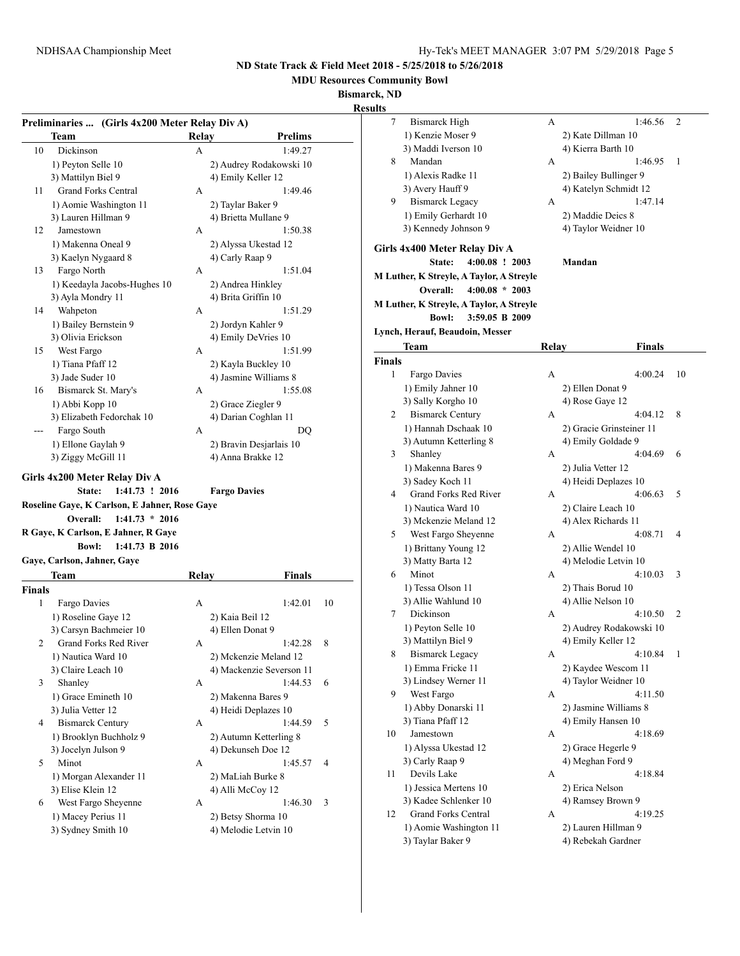**MDU Resources Community Bowl**

**Bismarck, ND**

|               | Preliminaries  (Girls 4x200 Meter Relay Div A)                                                                                   |                     |                                            |    |              |
|---------------|----------------------------------------------------------------------------------------------------------------------------------|---------------------|--------------------------------------------|----|--------------|
|               | Team                                                                                                                             | Relay               | <b>Prelims</b>                             |    |              |
| 10            | Dickinson                                                                                                                        | A                   | 1:49.27                                    |    |              |
|               | 1) Peyton Selle 10                                                                                                               |                     | 2) Audrey Rodakowski 10                    |    |              |
|               | 3) Mattilyn Biel 9                                                                                                               |                     | 4) Emily Keller 12                         |    |              |
| 11            | <b>Grand Forks Central</b>                                                                                                       | A                   | 1:49.46                                    |    |              |
|               |                                                                                                                                  |                     |                                            |    |              |
|               | 1) Aomie Washington 11                                                                                                           |                     | 2) Taylar Baker 9                          |    |              |
|               | 3) Lauren Hillman 9                                                                                                              |                     | 4) Brietta Mullane 9                       |    |              |
| 12            | Jamestown                                                                                                                        | A                   | 1:50.38                                    |    |              |
|               | 1) Makenna Oneal 9                                                                                                               |                     | 2) Alyssa Ukestad 12                       |    | <b>Girls</b> |
|               | 3) Kaelyn Nygaard 8                                                                                                              | 4) Carly Raap 9     |                                            |    |              |
| 13            | Fargo North                                                                                                                      | A                   | 1:51.04                                    |    | M Lut        |
|               | 1) Keedayla Jacobs-Hughes 10                                                                                                     |                     | 2) Andrea Hinkley                          |    |              |
|               | 3) Ayla Mondry 11                                                                                                                |                     | 4) Brita Griffin 10                        |    | M Lut        |
| 14            | Wahpeton                                                                                                                         | A                   | 1:51.29                                    |    |              |
|               | 1) Bailey Bernstein 9                                                                                                            |                     | 2) Jordyn Kahler 9                         |    |              |
|               | 3) Olivia Erickson                                                                                                               |                     | 4) Emily DeVries 10                        |    | Lynch        |
| 15            | West Fargo                                                                                                                       | A                   | 1:51.99                                    |    |              |
|               | 1) Tiana Pfaff 12                                                                                                                |                     | 2) Kayla Buckley 10                        |    | Finals       |
|               | 3) Jade Suder 10                                                                                                                 |                     | 4) Jasmine Williams 8                      |    |              |
| 16            | Bismarck St. Mary's                                                                                                              | A                   | 1:55.08                                    |    |              |
|               | 1) Abbi Kopp 10                                                                                                                  |                     | 2) Grace Ziegler 9                         |    |              |
|               | 3) Elizabeth Fedorchak 10                                                                                                        |                     | 4) Darian Coghlan 11                       |    |              |
|               | Fargo South                                                                                                                      | A                   | DQ                                         |    |              |
|               | 1) Ellone Gaylah 9                                                                                                               |                     |                                            |    |              |
|               |                                                                                                                                  |                     | 2) Bravin Desjarlais 10                    |    |              |
|               |                                                                                                                                  |                     |                                            |    |              |
|               | 3) Ziggy McGill 11<br>Girls 4x200 Meter Relay Div A<br>1:41.73 ! 2016<br>State:<br>Roseline Gaye, K Carlson, E Jahner, Rose Gaye | <b>Fargo Davies</b> | 4) Anna Brakke 12                          |    |              |
|               | $1:41.73 * 2016$<br>Overall:<br>R Gaye, K Carlson, E Jahner, R Gaye                                                              |                     |                                            |    |              |
|               | <b>Bowl:</b><br>1:41.73 B 2016                                                                                                   |                     |                                            |    |              |
|               | Gaye, Carlson, Jahner, Gaye                                                                                                      |                     |                                            |    |              |
|               | Team                                                                                                                             |                     |                                            |    |              |
|               |                                                                                                                                  | Relay               | <b>Finals</b>                              |    |              |
| 1             | Fargo Davies                                                                                                                     | A                   | 1:42.01                                    | 10 |              |
|               |                                                                                                                                  |                     |                                            |    |              |
|               | 1) Roseline Gaye 12                                                                                                              | 2) Kaia Beil 12     |                                            |    |              |
|               | 3) Carsyn Bachmeier 10                                                                                                           | 4) Ellen Donat 9    |                                            |    |              |
| 2             | Grand Forks Red River                                                                                                            | А                   | 1:42.28                                    | 8  |              |
|               | 1) Nautica Ward 10                                                                                                               |                     | 2) Mckenzie Meland 12                      |    |              |
|               | 3) Claire Leach 10                                                                                                               |                     | 4) Mackenzie Severson 11                   |    |              |
| 3             | Shanley                                                                                                                          | A                   | 1:44.53                                    | 6  |              |
|               | 1) Grace Emineth 10                                                                                                              |                     | 2) Makenna Bares 9                         |    |              |
|               | 3) Julia Vetter 12                                                                                                               |                     | 4) Heidi Deplazes 10                       |    |              |
| 4             | <b>Bismarck Century</b>                                                                                                          | A                   | 1:44.59                                    | 5  |              |
|               | 1) Brooklyn Buchholz 9                                                                                                           |                     | 2) Autumn Ketterling 8                     |    |              |
|               | 3) Jocelyn Julson 9                                                                                                              |                     | 4) Dekunseh Doe 12                         |    |              |
| 5             | Minot                                                                                                                            | A                   | 1:45.57                                    | 4  |              |
|               | 1) Morgan Alexander 11                                                                                                           |                     | 2) MaLiah Burke 8                          |    |              |
|               | 3) Elise Klein 12                                                                                                                |                     | 4) Alli McCoy 12                           |    |              |
| 6             | West Fargo Sheyenne                                                                                                              | A                   | 1:46.30                                    | 3  |              |
| <b>Finals</b> | 1) Macey Perius 11<br>3) Sydney Smith 10                                                                                         |                     | 2) Betsy Shorma 10<br>4) Melodie Letvin 10 |    |              |

| k, ND  |                                              |              |                              |    |
|--------|----------------------------------------------|--------------|------------------------------|----|
| lts    |                                              |              |                              |    |
| 7      | <b>Bismarck High</b>                         | А            | 1:46.56                      | 2  |
|        | 1) Kenzie Moser 9                            |              | 2) Kate Dillman 10           |    |
|        | 3) Maddi Iverson 10                          |              | 4) Kierra Barth 10           |    |
| 8      | Mandan                                       | А            | 1:46.95                      | 1  |
|        | 1) Alexis Radke 11                           |              | 2) Bailey Bullinger 9        |    |
|        | 3) Avery Hauff 9                             |              | 4) Katelyn Schmidt 12        |    |
| 9      | <b>Bismarck Legacy</b>                       | А            | 1:47.14                      |    |
|        | 1) Emily Gerhardt 10                         |              | 2) Maddie Deics 8            |    |
|        | 3) Kennedy Johnson 9                         |              | 4) Taylor Weidner 10         |    |
|        | <b>Girls 4x400 Meter Relay Div A</b>         |              |                              |    |
|        | State:<br>$4:00.08$ ! 2003                   |              | Mandan                       |    |
|        | M Luther, K Streyle, A Taylor, A Streyle     |              |                              |    |
|        | Overall:<br>$4:00.08 * 2003$                 |              |                              |    |
|        | M Luther, K Streyle, A Taylor, A Streyle     |              |                              |    |
|        | <b>Bowl:</b><br>3:59.05 B 2009               |              |                              |    |
|        | Lynch, Herauf, Beaudoin, Messer              |              |                              |    |
|        | Team                                         | <b>Relay</b> | <b>Finals</b>                |    |
| Finals |                                              |              |                              |    |
| 1      | Fargo Davies                                 | A            | 4:00.24                      | 10 |
|        | 1) Emily Jahner 10                           |              | 2) Ellen Donat 9             |    |
|        | 3) Sally Korgho 10                           |              | 4) Rose Gave 12              |    |
| 2      | <b>Bismarck Century</b>                      | А            | 4:04.12                      | 8  |
|        | 1) Hannah Dschaak 10                         |              | 2) Gracie Grinsteiner 11     |    |
|        | 3) Autumn Ketterling 8                       |              | 4) Emily Goldade 9           |    |
| 3      | Shanley                                      | А            | 4:04.69                      | 6  |
|        | 1) Makenna Bares 9                           |              | 2) Julia Vetter 12           |    |
|        | 3) Sadey Koch 11                             |              | 4) Heidi Deplazes 10         |    |
| 4      | Grand Forks Red River                        | А            | 4:06.63                      | 5  |
|        | 1) Nautica Ward 10                           |              | 2) Claire Leach 10           |    |
|        | 3) Mckenzie Meland 12                        |              | 4) Alex Richards 11          |    |
| 5      | West Fargo Sheyenne                          | А            | 4:08.71                      | 4  |
|        | 1) Brittany Young 12                         |              | 2) Allie Wendel 10           |    |
|        | 3) Matty Barta 12                            |              | 4) Melodie Letvin 10         |    |
| 6      | Minot                                        | А            | 4:10.03                      | 3  |
|        | 1) Tessa Olson 11                            |              | 2) Thais Borud 10            |    |
|        | 3) Allie Wahlund 10                          |              | 4) Allie Nelson 10           |    |
| 7      | Dickinson                                    | А            | 4:10.50                      | 2  |
|        | 1) Peyton Selle 10                           |              | 2) Audrey Rodakowski 10      |    |
|        | 3) Mattilyn Biel 9                           |              | 4) Emily Keller 12           |    |
| 8      | <b>Bismarck Legacy</b>                       | А            | 4:10.84                      | 1  |
|        | 1) Emma Fricke 11                            |              | 2) Kaydee Wescom 11          |    |
|        | 3) Lindsey Werner 11                         |              | 4) Taylor Weidner 10         |    |
| 9      | West Fargo                                   | А            | 4:11.50                      |    |
|        | 1) Abby Donarski 11                          |              | 2) Jasmine Williams 8        |    |
|        | 3) Tiana Pfaff 12                            |              | 4) Emily Hansen 10           |    |
| 10     | Jamestown                                    | А            | 4:18.69                      |    |
|        | 1) Alyssa Ukestad 12                         |              | 2) Grace Hegerle 9           |    |
|        | 3) Carly Raap 9                              |              | 4) Meghan Ford 9             |    |
| 11     | Devils Lake                                  | A            | 4:18.84                      |    |
|        |                                              |              |                              |    |
|        | 1) Jessica Mertens 10                        |              | 2) Erica Nelson              |    |
| 12     | 3) Kadee Schlenker 10<br>Grand Forks Central | А            | 4) Ramsey Brown 9<br>4:19.25 |    |
|        |                                              |              |                              |    |
|        | 1) Aomie Washington 11                       |              | 2) Lauren Hillman 9          |    |
|        | 3) Taylar Baker 9                            |              | 4) Rebekah Gardner           |    |
|        |                                              |              |                              |    |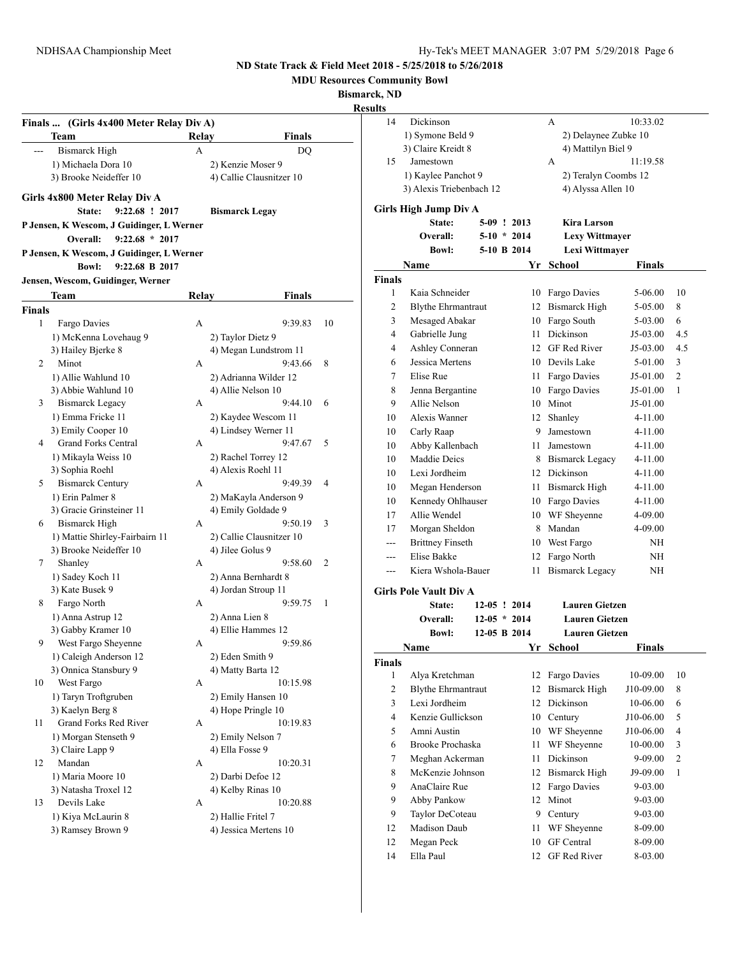**MDU Resources Community Bowl**

**Bismarck, ND**

# **Results**

|               | (Girls 4x400 Meter Relay Div A)<br>Team   | Relay | Finals                   |    |
|---------------|-------------------------------------------|-------|--------------------------|----|
| $---$         | <b>Bismarck High</b>                      | А     | DQ                       |    |
|               | 1) Michaela Dora 10                       |       | 2) Kenzie Moser 9        |    |
|               | 3) Brooke Neideffer 10                    |       | 4) Callie Clausnitzer 10 |    |
|               | Girls 4x800 Meter Relay Div A             |       |                          |    |
|               | 9:22.68 ! 2017<br>State:                  |       | <b>Bismarck Legay</b>    |    |
|               | P Jensen, K Wescom, J Guidinger, L Werner |       |                          |    |
|               | $9:22.68 * 2017$<br>Overall:              |       |                          |    |
|               | P Jensen, K Wescom, J Guidinger, L Werner |       |                          |    |
|               | <b>Bowl:</b><br>9:22.68 B 2017            |       |                          |    |
|               | Jensen, Wescom, Guidinger, Werner         |       |                          |    |
|               | Team                                      | Relay | Finals                   |    |
| <b>Finals</b> |                                           |       |                          |    |
| 1             | Fargo Davies                              | А     | 9:39.83                  | 10 |
|               | 1) McKenna Lovehaug 9                     |       | 2) Taylor Dietz 9        |    |
|               | 3) Hailey Bjerke 8                        |       | 4) Megan Lundstrom 11    |    |
| 2             | Minot                                     | А     | 9:43.66                  | 8  |
|               | 1) Allie Wahlund 10                       |       | 2) Adrianna Wilder 12    |    |
|               | 3) Abbie Wahlund 10                       |       | 4) Allie Nelson 10       |    |
| 3             | Bismarck Legacy                           | А     | 9:44.10                  | 6  |
|               | 1) Emma Fricke 11                         |       | 2) Kaydee Wescom 11      |    |
|               | 3) Emily Cooper 10                        |       | 4) Lindsey Werner 11     |    |
| 4             | Grand Forks Central                       | А     | 9:47.67                  | 5  |
|               | 1) Mikayla Weiss 10                       |       | 2) Rachel Torrey 12      |    |
|               | 3) Sophia Roehl                           |       | 4) Alexis Roehl 11       |    |
| 5             | <b>Bismarck Century</b>                   | А     | 9:49.39                  | 4  |
|               | 1) Erin Palmer 8                          |       | 2) MaKayla Anderson 9    |    |
|               | 3) Gracie Grinsteiner 11                  |       | 4) Emily Goldade 9       |    |
| 6             | <b>Bismarck High</b>                      | A     | 9:50.19                  | 3  |
|               | 1) Mattie Shirley-Fairbairn 11            |       | 2) Callie Clausnitzer 10 |    |
|               | 3) Brooke Neideffer 10                    |       | 4) Jilee Golus 9         |    |
| 7             | Shanley                                   | A     | 9:58.60                  | 2  |
|               | 1) Sadey Koch 11                          |       | 2) Anna Bernhardt 8      |    |
|               | 3) Kate Busek 9                           |       | 4) Jordan Stroup 11      |    |
| 8             | Fargo North                               | А     | 9:59.75                  | 1  |
|               | 1) Anna Astrup 12                         |       | 2) Anna Lien 8           |    |
|               | 3) Gabby Kramer 10                        |       | 4) Ellie Hammes 12       |    |
| 9             | West Fargo Sheyenne                       | A     | 9:59.86                  |    |
|               | 1) Caleigh Anderson 12                    |       | 2) Eden Smith 9          |    |
|               | 3) Onnica Stansbury 9                     |       | 4) Matty Barta 12        |    |
| 10            | West Fargo                                | А     | 10:15.98                 |    |
|               | 1) Taryn Troftgruben                      |       | 2) Emily Hansen 10       |    |
|               | 3) Kaelyn Berg 8                          |       | 4) Hope Pringle 10       |    |
| 11            | Grand Forks Red River                     | A     | 10:19.83                 |    |
|               | 1) Morgan Stenseth 9                      |       | 2) Emily Nelson 7        |    |
|               | 3) Claire Lapp 9                          |       | 4) Ella Fosse 9          |    |
| 12            | Mandan                                    | А     | 10:20.31                 |    |
|               | 1) Maria Moore 10                         |       | 2) Darbi Defoe 12        |    |
|               | 3) Natasha Troxel 12                      |       | 4) Kelby Rinas 10        |    |
| 13            | Devils Lake                               | A     | 10:20.88                 |    |
|               | 1) Kiya McLaurin 8                        |       | 2) Hallie Fritel 7       |    |
|               | 3) Ramsey Brown 9                         |       | 4) Jessica Mertens 10    |    |

| 14                 | Dickinson                     |                                |    | А                                              | 10:33.02      |     |  |
|--------------------|-------------------------------|--------------------------------|----|------------------------------------------------|---------------|-----|--|
|                    | 1) Symone Beld 9              |                                |    | 2) Delaynee Zubke 10                           |               |     |  |
|                    | 3) Claire Kreidt 8            |                                |    | 4) Mattilyn Biel 9                             |               |     |  |
| 15                 | Jamestown                     |                                |    | A                                              | 11:19.58      |     |  |
|                    | 1) Kaylee Panchot 9           |                                |    | 2) Teralyn Coombs 12                           |               |     |  |
|                    | 3) Alexis Triebenbach 12      |                                |    | 4) Alyssa Allen 10                             |               |     |  |
|                    | Girls High Jump Div A         |                                |    |                                                |               |     |  |
|                    | State:                        | $5-09$ ! 2013                  |    | Kira Larson                                    |               |     |  |
|                    | Overall:                      | $5-10 * 2014$                  |    | <b>Lexy Wittmayer</b>                          |               |     |  |
|                    | <b>Bowl:</b>                  | 5-10 B 2014                    |    | Lexi Wittmayer                                 |               |     |  |
|                    | Name                          |                                | Yr | <b>School</b>                                  | Finals        |     |  |
| <b>Finals</b>      |                               |                                |    |                                                |               |     |  |
| 1                  | Kaia Schneider                |                                |    | 10 Fargo Davies                                | 5-06.00       | 10  |  |
| 2                  | <b>Blythe Ehrmantraut</b>     |                                |    | 12 Bismarck High                               | 5-05.00       | 8   |  |
| 3                  | Mesaged Abakar                |                                |    | 10 Fargo South                                 | 5-03.00       | 6   |  |
| 4                  | Gabrielle Jung                |                                |    | 11 Dickinson                                   | $J5-03.00$    | 4.5 |  |
| 4                  | Ashley Conneran               |                                |    | 12 GF Red River                                | $J5-03.00$    | 4.5 |  |
| 6                  | Jessica Mertens               |                                |    | 10 Devils Lake                                 | 5-01.00       | 3   |  |
| 7                  | Elise Rue                     |                                |    | 11 Fargo Davies                                | J5-01.00      | 2   |  |
| 8                  | Jenna Bergantine              |                                |    | 10 Fargo Davies                                | J5-01.00      | 1   |  |
| 9                  | Allie Nelson                  |                                |    | 10 Minot                                       | J5-01.00      |     |  |
| 10                 | Alexis Wanner                 |                                |    | 12 Shanley                                     | 4-11.00       |     |  |
| 10                 | Carly Raap                    |                                |    | 9 Jamestown                                    | 4-11.00       |     |  |
| 10                 | Abby Kallenbach               |                                |    | 11 Jamestown                                   | 4-11.00       |     |  |
| 10                 | Maddie Deics                  |                                |    | 8 Bismarck Legacy                              | 4-11.00       |     |  |
| 10                 | Lexi Jordheim                 |                                |    | 12 Dickinson                                   | 4-11.00       |     |  |
| 10                 | Megan Henderson               |                                |    | 11 Bismarck High                               | 4-11.00       |     |  |
| 10                 | Kennedy Ohlhauser             |                                |    | 10 Fargo Davies                                | 4-11.00       |     |  |
| 17                 | Allie Wendel                  |                                |    | 10 WF Sheyenne                                 | 4-09.00       |     |  |
| 17                 | Morgan Sheldon                |                                |    | 8 Mandan                                       | 4-09.00       |     |  |
| ---                | <b>Brittney Finseth</b>       |                                |    | 10 West Fargo                                  | ΝH            |     |  |
| ---                | Elise Bakke                   |                                | 12 | Fargo North                                    | NΗ            |     |  |
| ---                | Kiera Wshola-Bauer            |                                | 11 | <b>Bismarck Legacy</b>                         | ΝH            |     |  |
|                    |                               |                                |    |                                                |               |     |  |
|                    | <b>Girls Pole Vault Div A</b> |                                |    |                                                |               |     |  |
|                    | State:                        | $12-05$ ! 2014                 |    | <b>Lauren Gietzen</b>                          |               |     |  |
|                    | Overall:<br><b>Bowl:</b>      | $12-05 * 2014$<br>12-05 B 2014 |    | <b>Lauren Gietzen</b><br><b>Lauren Gietzen</b> |               |     |  |
|                    | Name                          |                                | Yr |                                                | <b>Finals</b> |     |  |
|                    |                               |                                |    | <b>School</b>                                  |               |     |  |
| <b>Finals</b><br>1 | Alya Kretchman                |                                | 12 | Fargo Davies                                   | 10-09.00      | 10  |  |
| $\overline{c}$     | <b>Blythe Ehrmantraut</b>     |                                | 12 | <b>Bismarck High</b>                           | J10-09.00     | 8   |  |
| 3                  | Lexi Jordheim                 |                                | 12 | Dickinson                                      | 10-06.00      | 6   |  |
| 4                  | Kenzie Gullickson             |                                | 10 | Century                                        | J10-06.00     | 5   |  |
| 5                  | Amni Austin                   |                                | 10 | WF Sheyenne                                    | J10-06.00     | 4   |  |
| 6                  | Brooke Prochaska              |                                | 11 | WF Sheyenne                                    | 10-00.00      | 3   |  |
| 7                  | Meghan Ackerman               |                                | 11 | Dickinson                                      | 9-09.00       | 2   |  |
| 8                  | McKenzie Johnson              |                                | 12 | <b>Bismarck High</b>                           | J9-09.00      | 1   |  |
| 9                  | AnaClaire Rue                 |                                | 12 | Fargo Davies                                   | 9-03.00       |     |  |
| 9                  | Abby Pankow                   |                                | 12 | Minot                                          | 9-03.00       |     |  |
| 9                  | Taylor DeCoteau               |                                |    | 9 Century                                      | 9-03.00       |     |  |
| 12                 | Madison Daub                  |                                | 11 | WF Sheyenne                                    | 8-09.00       |     |  |
| 12                 | Megan Peck                    |                                | 10 | <b>GF</b> Central                              | 8-09.00       |     |  |
| 14                 | Ella Paul                     |                                | 12 | GF Red River                                   | 8-03.00       |     |  |
|                    |                               |                                |    |                                                |               |     |  |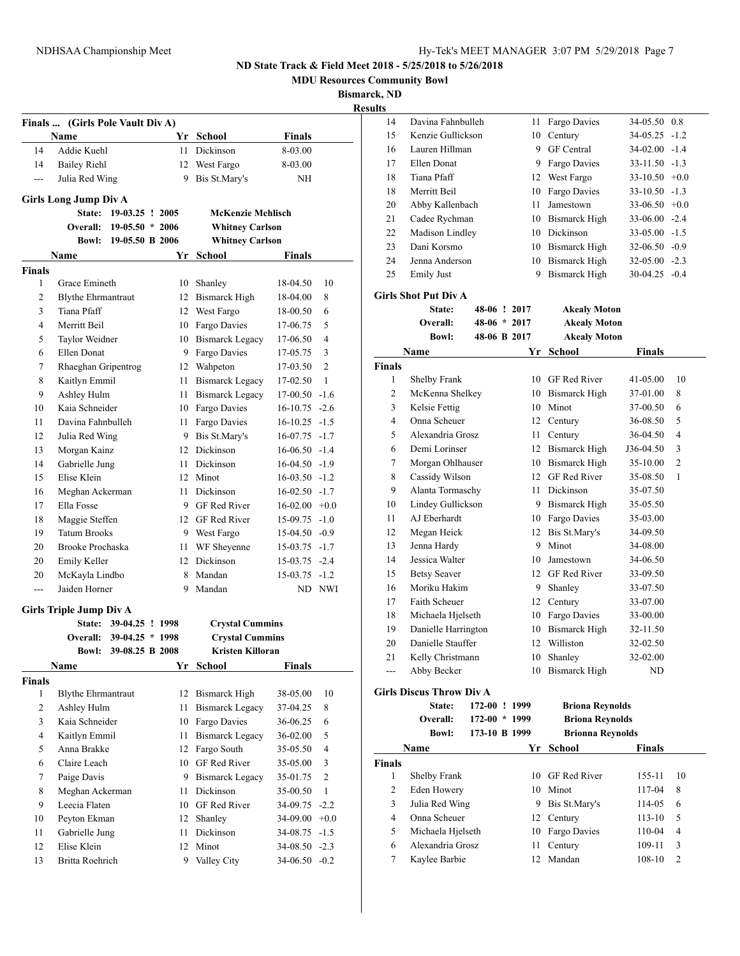**MDU Resources Community Bowl**

**Bismarck, ND**

|                               | Finals  (Girls Pole Vault Div A) |                          |      |                                 |                  |                |
|-------------------------------|----------------------------------|--------------------------|------|---------------------------------|------------------|----------------|
|                               | <b>Name</b>                      |                          |      | Yr School                       | <b>Finals</b>    |                |
| 14                            | Addie Kuehl                      |                          | 11   | Dickinson                       | 8-03.00          |                |
| 14                            | Bailey Riehl                     |                          | 12   | West Fargo                      | 8-03.00          |                |
| ---                           | Julia Red Wing                   |                          | 9.   | Bis St.Mary's                   | NH               |                |
|                               |                                  |                          |      |                                 |                  |                |
|                               | <b>Girls Long Jump Div A</b>     |                          |      |                                 |                  |                |
|                               | State:                           | $19-03.25$ ! 2005        |      | <b>McKenzie Mehlisch</b>        |                  |                |
|                               | Overall:                         | $19-05.50 * 2006$        |      | <b>Whitney Carlson</b>          |                  |                |
|                               | <b>Bowl:</b>                     | 19-05.50 B 2006          |      | <b>Whitney Carlson</b>          |                  |                |
|                               | Name                             |                          | Yr   | School                          | Finals           |                |
| <b>Finals</b><br>$\mathbf{1}$ | Grace Emineth                    |                          |      | 10 Shanley                      | 18-04.50         | 10             |
| 2                             | <b>Blythe Ehrmantraut</b>        |                          |      | 12 Bismarck High                | 18-04.00         | 8              |
| 3                             | Tiana Pfaff                      |                          |      | 12 West Fargo                   | 18-00.50         | 6              |
| 4                             | Merritt Beil                     |                          |      | 10 Fargo Davies                 | 17-06.75         | 5              |
| 5                             | Taylor Weidner                   |                          |      | 10 Bismarck Legacy              | 17-06.50         | 4              |
| 6                             | Ellen Donat                      |                          |      | 9 Fargo Davies                  | 17-05.75         | 3              |
| 7                             | Rhaeghan Gripentrog              |                          |      | 12 Wahpeton                     | 17-03.50         | $\overline{c}$ |
| 8                             | Kaitlyn Emmil                    |                          | 11 - | Bismarck Legacy                 | 17-02.50         | 1              |
| 9                             | Ashley Hulm                      |                          | 11   | Bismarck Legacy                 | $17-00.50 -1.6$  |                |
| 10                            | Kaia Schneider                   |                          |      | 10 Fargo Davies                 | $16-10.75 - 2.6$ |                |
| 11                            | Davina Fahnbulleh                |                          | 11 - |                                 | $16-10.25 -1.5$  |                |
| 12                            | Julia Red Wing                   |                          |      | Fargo Davies<br>9 Bis St.Mary's | $16-07.75 -1.7$  |                |
| 13                            |                                  |                          |      | 12 Dickinson                    | $16-06.50 -1.4$  |                |
|                               | Morgan Kainz                     |                          |      |                                 |                  |                |
| 14                            | Gabrielle Jung                   |                          |      | 11 Dickinson                    | $16-04.50 -1.9$  |                |
| 15                            | Elise Klein                      |                          |      | 12 Minot                        | $16-03.50 -1.2$  |                |
| 16                            | Meghan Ackerman                  |                          |      | 11 Dickinson                    | $16-02.50 -1.7$  |                |
| 17                            | Ella Fosse                       |                          |      | 9 GF Red River                  | $16-02.00 +0.0$  |                |
| 18                            | Maggie Steffen                   |                          |      | 12 GF Red River                 | $15-09.75 -1.0$  |                |
| 19                            | <b>Tatum Brooks</b>              |                          |      | 9 West Fargo                    | $15-04.50 -0.9$  |                |
| 20                            | Brooke Prochaska                 |                          | 11   | WF Sheyenne                     | $15-03.75 -1.7$  |                |
| 20                            | Emily Keller                     |                          |      | 12 Dickinson                    | $15-03.75 -2.4$  |                |
| 20                            | McKayla Lindbo                   |                          | 8    | Mandan                          | $15-03.75 -1.2$  |                |
| ---                           | Jaiden Horner                    |                          | 9    | Mandan                          |                  | ND NWI         |
|                               | <b>Girls Triple Jump Div A</b>   |                          |      |                                 |                  |                |
|                               | <b>State:</b>                    | 39-04.25 ! 1998          |      | <b>Crystal Cummins</b>          |                  |                |
|                               |                                  | Overall: 39-04.25 * 1998 |      | <b>Crystal Cummins</b>          |                  |                |
|                               |                                  | Bowl: 39-08.25 B 2008    |      | Kristen Killoran                |                  |                |
|                               | Name                             |                          |      | Yr School                       | <b>Finals</b>    |                |
| <b>Finals</b>                 |                                  |                          |      |                                 |                  |                |
| $\mathbf{1}$                  | <b>Blythe Ehrmantraut</b>        |                          | 12   | <b>Bismarck High</b>            | 38-05.00         | 10             |
| 2                             | Ashley Hulm                      |                          | 11   | <b>Bismarck Legacy</b>          | 37-04.25         | 8              |
| 3                             | Kaia Schneider                   |                          | 10   | Fargo Davies                    | 36-06.25         | 6              |
| 4                             | Kaitlyn Emmil                    |                          | 11   | <b>Bismarck Legacy</b>          | 36-02.00         | 5              |
| 5                             | Anna Brakke                      |                          | 12   | Fargo South                     | 35-05.50         | 4              |
| 6                             | Claire Leach                     |                          | 10   | GF Red River                    | 35-05.00         | 3              |
| 7                             | Paige Davis                      |                          | 9.   | <b>Bismarck Legacy</b>          | 35-01.75         | 2              |
| 8                             | Meghan Ackerman                  |                          | 11   | Dickinson                       | 35-00.50         | 1              |
| 9                             | Leecia Flaten                    |                          |      | 10 GF Red River                 | 34-09.75         | $-2.2$         |
| 10                            | Peyton Ekman                     |                          | 12   | Shanley                         | $34-09.00 +0.0$  |                |
|                               |                                  |                          |      |                                 |                  |                |
| 11                            | Gabrielle Jung                   |                          | 11   | Dickinson                       | $34-08.75 -1.5$  |                |
| 12                            | Elise Klein                      |                          | 12   | Minot                           | $34-08.50 -2.3$  |                |

| 14            | Davina Fahnbulleh               |                 | 11 | Fargo Davies            | 34-05.50           | 0.8            |
|---------------|---------------------------------|-----------------|----|-------------------------|--------------------|----------------|
| 15            | Kenzie Gullickson               |                 | 10 | Century                 | 34-05.25           | $-1.2$         |
| 16            | Lauren Hillman                  |                 |    | 9 GF Central            | 34-02.00 -1.4      |                |
| 17            | Ellen Donat                     |                 |    | 9 Fargo Davies          | $33 - 11.50 - 1.3$ |                |
| 18            | Tiana Pfaff                     |                 |    | 12 West Fargo           | $33-10.50 +0.0$    |                |
| 18            | Merritt Beil                    |                 | 10 | Fargo Davies            | $33-10.50 -1.3$    |                |
| 20            | Abby Kallenbach                 |                 | 11 | Jamestown               | $33-06.50 +0.0$    |                |
| 21            | Cadee Rychman                   |                 |    | 10 Bismarck High        | $33-06.00 -2.4$    |                |
| 22            | Madison Lindley                 |                 |    | 10 Dickinson            | 33-05.00 -1.5      |                |
| 23            | Dani Korsmo                     |                 |    | 10 Bismarck High        | $32-06.50 -0.9$    |                |
| 24            | Jenna Anderson                  |                 |    | 10 Bismarck High        | $32-05.00 -2.3$    |                |
| 25            | <b>Emily Just</b>               |                 | 9  | <b>Bismarck High</b>    | $30-04.25 -0.4$    |                |
|               | <b>Girls Shot Put Div A</b>     |                 |    |                         |                    |                |
|               | <b>State:</b>                   | 48-06 ! 2017    |    | Akealy Moton            |                    |                |
|               | Overall:                        | $48-06 * 2017$  |    | <b>Akealy Moton</b>     |                    |                |
|               | <b>Bowl:</b>                    | 48-06 B 2017    |    | <b>Akealy Moton</b>     |                    |                |
|               | Name                            |                 | Yr | <b>School</b>           | <b>Finals</b>      |                |
| <b>Finals</b> |                                 |                 |    |                         |                    |                |
| 1             | Shelby Frank                    |                 |    | 10 GF Red River         | 41-05.00           | 10             |
| 2             | McKenna Shelkey                 |                 |    | 10 Bismarck High        | 37-01.00           | 8              |
| 3             | Kelsie Fettig                   |                 |    | 10 Minot                | 37-00.50           | 6              |
| 4             | Onna Scheuer                    |                 |    | 12 Century              | 36-08.50           | 5              |
| 5             | Alexandria Grosz                |                 | 11 | Century                 | 36-04.50           | 4              |
| 6             | Demi Lorinser                   |                 |    | 12 Bismarck High        | J36-04.50          | 3              |
| 7             | Morgan Ohlhauser                |                 |    | 10 Bismarck High        | 35-10.00           | $\overline{c}$ |
| 8             | Cassidy Wilson                  |                 |    | 12 GF Red River         | 35-08.50           | 1              |
| 9             | Alanta Tormaschy                |                 | 11 | Dickinson               | 35-07.50           |                |
| 10            | Lindey Gullickson               |                 |    | 9 Bismarck High         | 35-05.50           |                |
| 11            | AJ Eberhardt                    |                 |    | 10 Fargo Davies         | 35-03.00           |                |
| 12            | Megan Heick                     |                 |    | 12 Bis St.Mary's        | 34-09.50           |                |
| 13            | Jenna Hardy                     |                 | 9  | Minot                   | 34-08.00           |                |
| 14            | Jessica Walter                  |                 |    | 10 Jamestown            | 34-06.50           |                |
| 15            | <b>Betsy Seaver</b>             |                 |    | 12 GF Red River         | 33-09.50           |                |
| 16            | Moriku Hakim                    |                 | 9. | Shanley                 | 33-07.50           |                |
| 17            | Faith Scheuer                   |                 | 12 | Century                 | 33-07.00           |                |
| 18            | Michaela Hjelseth               |                 | 10 | Fargo Davies            | 33-00.00           |                |
| 19            | Danielle Harrington             |                 | 10 | <b>Bismarck High</b>    | 32-11.50           |                |
| 20            | Danielle Stauffer               |                 | 12 | Williston               | 32-02.50           |                |
| 21            | Kelly Christmann                |                 | 10 | Shanley                 | 32-02.00           |                |
|               | Abby Becker                     |                 |    | 10 Bismarck High        | ND                 |                |
|               | <b>Girls Discus Throw Div A</b> |                 |    |                         |                    |                |
|               | State:                          | 172-00 ! 1999   |    | <b>Briona Reynolds</b>  |                    |                |
|               | <b>Overall:</b>                 | $172-00 * 1999$ |    | <b>Briona Reynolds</b>  |                    |                |
|               | <b>Bowl:</b>                    | 173-10 B 1999   |    | <b>Brionna Reynolds</b> |                    |                |
|               | Name                            |                 |    | Yr School               | <b>Finals</b>      |                |
| <b>Finals</b> |                                 |                 |    |                         |                    |                |
| $\mathbf{1}$  | Shelby Frank                    |                 | 10 | GF Red River            | 155-11             | 10             |
| 2             | Eden Howery                     |                 | 10 | Minot                   | 117-04             | 8              |
| 3             | Julia Red Wing                  |                 | 9  | Bis St.Mary's           | 114-05             | 6              |
| 4             | Onna Scheuer                    |                 | 12 | Century                 | 113-10             | 5              |
| 5             | Michaela Hjelseth               |                 | 10 | Fargo Davies            | 110-04             | 4              |
| 6             | Alexandria Grosz                |                 | 11 | Century                 | 109-11             | 3              |
| 7             | Kaylee Barbie                   |                 | 12 | Mandan                  | 108-10             | $\overline{c}$ |
|               |                                 |                 |    |                         |                    |                |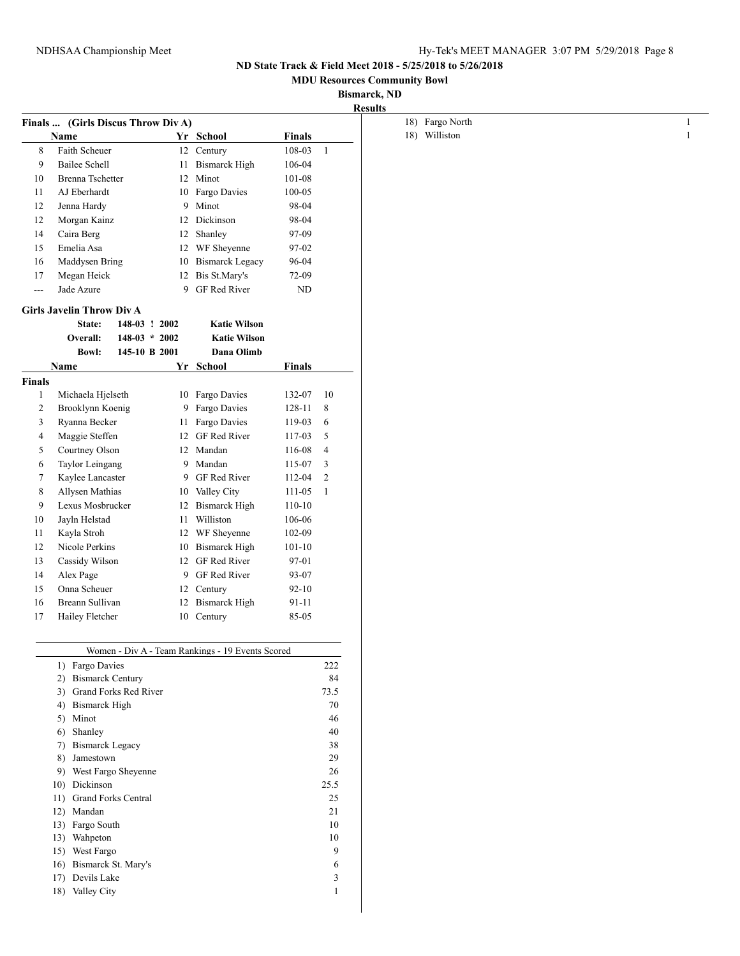**MDU Resources Community Bowl**

# **Bismarck, ND**

**Results**

|                | Finals  (Girls Discus Throw Div A)              |                 |    |                                                  |               |                |
|----------------|-------------------------------------------------|-----------------|----|--------------------------------------------------|---------------|----------------|
|                | Name                                            |                 |    | Yr School                                        | Finals        |                |
| 8              | <b>Faith Scheuer</b>                            |                 |    | 12 Century                                       | 108-03        | 1              |
| 9              | <b>Bailee Schell</b>                            |                 | 11 | <b>Bismarck High</b>                             | 106-04        |                |
| 10             | Brenna Tschetter                                |                 | 12 | Minot                                            | 101-08        |                |
| 11             | AJ Eberhardt                                    |                 | 10 | Fargo Davies                                     | 100-05        |                |
| 12             | Jenna Hardy                                     |                 | 9  | Minot                                            | 98-04         |                |
| 12             | Morgan Kainz                                    |                 | 12 | Dickinson                                        | 98-04         |                |
| 14             | Caira Berg                                      |                 | 12 | Shanley                                          | 97-09         |                |
| 15             | Emelia Asa                                      |                 | 12 | WF Sheyenne                                      | 97-02         |                |
| 16             | Maddysen Bring                                  |                 |    | 10 Bismarck Legacy                               | 96-04         |                |
| 17             | Megan Heick                                     |                 | 12 | Bis St.Mary's                                    | 72-09         |                |
| $\overline{a}$ | Jade Azure                                      |                 | 9  | <b>GF</b> Red River                              | ND            |                |
|                | <b>Girls Javelin Throw Div A</b>                |                 |    |                                                  |               |                |
|                | State:                                          | 148-03 ! 2002   |    | <b>Katie Wilson</b>                              |               |                |
|                | Overall:                                        | $148-03 * 2002$ |    | <b>Katie Wilson</b>                              |               |                |
|                | <b>Bowl:</b>                                    | 145-10 B 2001   |    | Dana Olimb                                       |               |                |
|                | Name                                            |                 | Yr | School                                           | <b>Finals</b> |                |
| <b>Finals</b>  |                                                 |                 |    |                                                  |               |                |
| 1              | Michaela Hjelseth                               |                 | 10 | Fargo Davies                                     | 132-07        | 10             |
| 2              | Brooklynn Koenig                                |                 | 9  | Fargo Davies                                     | 128-11        | 8              |
| 3              | Ryanna Becker                                   |                 | 11 | Fargo Davies                                     | 119-03        | 6              |
| 4              | Maggie Steffen                                  |                 |    | 12 GF Red River                                  | 117-03        | 5              |
| 5              | Courtney Olson                                  |                 |    | 12 Mandan                                        | 116-08        | 4              |
| 6              | Taylor Leingang                                 |                 | 9  | Mandan                                           | 115-07        | 3              |
| 7              | Kaylee Lancaster                                |                 |    | 9 GF Red River                                   | 112-04        | $\overline{c}$ |
| 8              | Allysen Mathias                                 |                 |    | 10 Valley City                                   | 111-05        | 1              |
| 9              | Lexus Mosbrucker                                |                 | 12 | <b>Bismarck High</b>                             | 110-10        |                |
| 10             | Jayln Helstad                                   |                 | 11 | Williston                                        | 106-06        |                |
| 11             | Kayla Stroh                                     |                 | 12 | WF Sheyenne                                      | 102-09        |                |
| 12             | Nicole Perkins                                  |                 | 10 | <b>Bismarck High</b>                             | $101 - 10$    |                |
| 13             | Cassidy Wilson                                  |                 | 12 | <b>GF</b> Red River                              | 97-01         |                |
| 14             | Alex Page                                       |                 | 9  | GF Red River                                     | 93-07         |                |
| 15             | Onna Scheuer                                    |                 | 12 | Century                                          | $92 - 10$     |                |
| 16             | Breann Sullivan                                 |                 | 12 | <b>Bismarck High</b>                             | 91-11         |                |
| 17             | Hailey Fletcher                                 |                 |    | 10 Century                                       | 85-05         |                |
|                |                                                 |                 |    |                                                  |               |                |
|                |                                                 |                 |    | Women - Div A - Team Rankings - 19 Events Scored |               |                |
|                | 1) Fargo Davies                                 |                 |    |                                                  |               | 222            |
|                | 2) Bismarck Century<br>3) Grand Forks Red River |                 |    |                                                  |               | 84             |
|                |                                                 |                 |    |                                                  |               | 73.5<br>70     |
|                | 4) Bismarck High<br>5) Minot                    |                 |    |                                                  |               | 46             |
|                | Shanley                                         |                 |    |                                                  |               | 40             |
|                | 6)<br>7) Bismarck Legacy                        |                 |    |                                                  |               | 38             |
|                | 8) Jamestown                                    |                 |    |                                                  |               | 29             |
|                | 9) West Fargo Sheyenne                          |                 |    |                                                  |               | 26             |
|                | 10) Dickinson                                   |                 |    |                                                  |               | 25.5           |
|                | 11) Grand Forks Central                         |                 |    |                                                  |               | 25             |
|                | 12) Mandan                                      |                 |    |                                                  |               | 21             |
|                | 13) Fargo South                                 |                 |    |                                                  |               | 10             |
|                | 13) Wahpeton                                    |                 |    |                                                  |               | 10             |
|                | 15) West Fargo                                  |                 |    |                                                  |               | 9              |
|                | 16) Bismarck St. Mary's                         |                 |    |                                                  |               | 6              |
|                | 17) Devils Lake                                 |                 |    |                                                  |               | 3              |
|                |                                                 |                 |    |                                                  |               |                |
|                | 18) Valley City                                 |                 |    |                                                  |               | 1              |

| 18) Fargo North |  |
|-----------------|--|
| 18) Williston   |  |